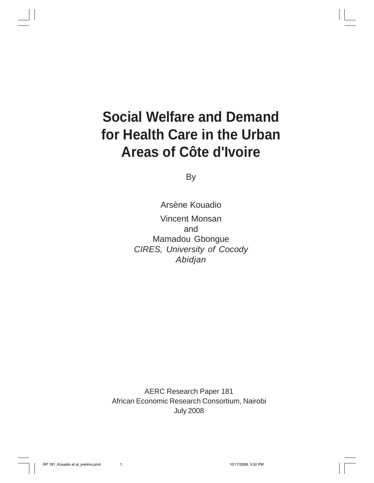# **Social Welfare and Demand for Health Care in the Urban Areas of Côte d'Ivoire**

**By** 

Arsène Kouadio

Vincent Monsan and Mamadou Gbongue *CIRES, University of Cocody Abidjan*

AERC Research Paper 181 African Economic Research Consortium, Nairobi July 2008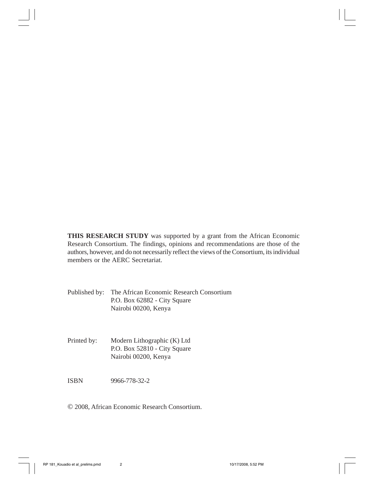**THIS RESEARCH STUDY** was supported by a grant from the African Economic Research Consortium. The findings, opinions and recommendations are those of the authors, however, and do not necessarily reflect the views of the Consortium, its individual members or the AERC Secretariat.

Published by: The African Economic Research Consortium P.O. Box 62882 - City Square Nairobi 00200, Kenya

Printed by: Modern Lithographic (K) Ltd P.O. Box 52810 - City Square Nairobi 00200, Kenya

ISBN 9966-778-32-2

© 2008, African Economic Research Consortium.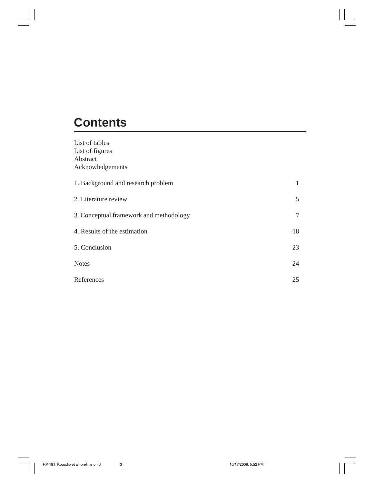# **Contents**

 $\vert \ \vert$ 

| List of tables<br>List of figures<br>Abstract<br>Acknowledgements |        |
|-------------------------------------------------------------------|--------|
| 1. Background and research problem                                | 1      |
| 2. Literature review                                              | 5      |
| 3. Conceptual framework and methodology                           | $\tau$ |
| 4. Results of the estimation                                      | 18     |
| 5. Conclusion                                                     | 23     |
| <b>Notes</b>                                                      | 24     |
| References                                                        | 25     |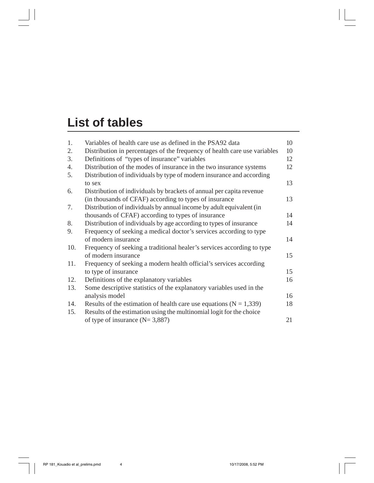# **List of tables**

| 1.  | Variables of health care use as defined in the PSA92 data                 | 10 |
|-----|---------------------------------------------------------------------------|----|
| 2.  | Distribution in percentages of the frequency of health care use variables | 10 |
| 3.  | Definitions of "types of insurance" variables                             | 12 |
| 4.  | Distribution of the modes of insurance in the two insurance systems       | 12 |
| 5.  | Distribution of individuals by type of modern insurance and according     |    |
|     | to sex                                                                    | 13 |
| 6.  | Distribution of individuals by brackets of annual per capita revenue      |    |
|     | (in thousands of CFAF) according to types of insurance                    | 13 |
| 7.  | Distribution of individuals by annual income by adult equivalent (in      |    |
|     | thousands of CFAF) according to types of insurance                        | 14 |
| 8.  | Distribution of individuals by age according to types of insurance        | 14 |
| 9.  | Frequency of seeking a medical doctor's services according to type        |    |
|     | of modern insurance                                                       | 14 |
| 10. | Frequency of seeking a traditional healer's services according to type    |    |
|     | of modern insurance                                                       | 15 |
| 11. | Frequency of seeking a modern health official's services according        |    |
|     | to type of insurance                                                      | 15 |
| 12. | Definitions of the explanatory variables                                  | 16 |
| 13. | Some descriptive statistics of the explanatory variables used in the      |    |
|     | analysis model                                                            | 16 |
| 14. | Results of the estimation of health care use equations ( $N = 1,339$ )    | 18 |
| 15. | Results of the estimation using the multinomial logit for the choice      |    |
|     | of type of insurance $(N=3,887)$                                          | 21 |
|     |                                                                           |    |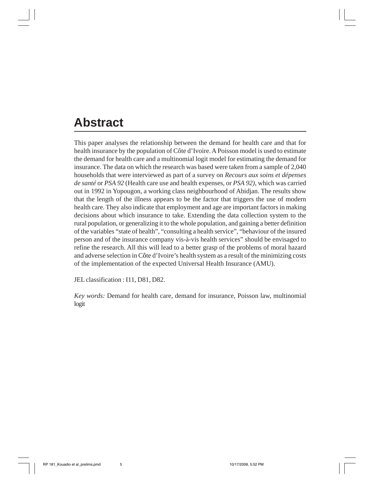# **Abstract**

This paper analyses the relationship between the demand for health care and that for health insurance by the population of Côte d'Ivoire. A Poisson model is used to estimate the demand for health care and a multinomial logit model for estimating the demand for insurance. The data on which the research was based were taken from a sample of 2,040 households that were interviewed as part of a survey on *Recours aux soins et dépenses de santé* or *PSA 92* (Health care use and health expenses, or *PSA 92)*, which was carried out in 1992 in Yopougon, a working class neighbourhood of Abidjan. The results show that the length of the illness appears to be the factor that triggers the use of modern health care. They also indicate that employment and age are important factors in making decisions about which insurance to take. Extending the data collection system to the rural population, or generalizing it to the whole population, and gaining a better definition of the variables "state of health", "consulting a health service", "behaviour of the insured person and of the insurance company vis-à-vis health services" should be envisaged to refine the research. All this will lead to a better grasp of the problems of moral hazard and adverse selection in Côte d'Ivoire's health system as a result of the minimizing costs of the implementation of the expected Universal Health Insurance (AMU).

JEL classification : I11, D81, D82.

*Key words:* Demand for health care, demand for insurance, Poisson law, multinomial logit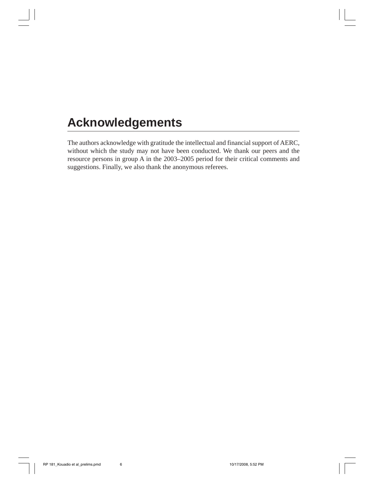# **Acknowledgements**

The authors acknowledge with gratitude the intellectual and financial support of AERC, without which the study may not have been conducted. We thank our peers and the resource persons in group A in the 2003–2005 period for their critical comments and suggestions. Finally, we also thank the anonymous referees.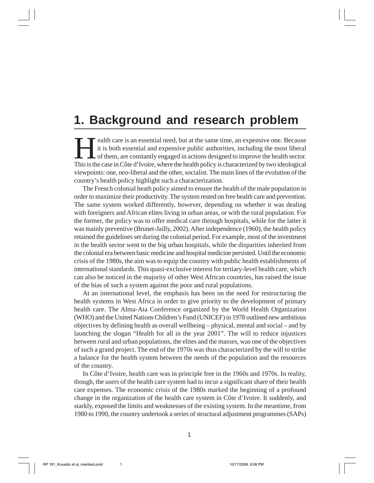# **1. Background and research problem**

ealth care is an essential need, but at the same time, an expensive one. Because it is both essential and expensive public authorities, including the most liberal of them, are constantly engaged in actions designed to improve the health sector. This is the case in Côte d'Ivoire, where the health policy is characterized by two ideological viewpoints: one, neo-liberal and the other, socialist. The main lines of the evolution of the country's health policy highlight such a characterization.

The French colonial heath policy aimed to ensure the health of the male population in order to maximize their productivity. The system rested on free health care and prevention. The same system worked differently, however, depending on whether it was dealing with foreigners and African elites living in urban areas, or with the rural population. For the former, the policy was to offer medical care through hospitals, while for the latter it was mainly preventive (Brunet-Jailly, 2002). After independence (1960), the health policy retained the guidelines set during the colonial period. For example, most of the investment in the health sector went to the big urban hospitals, while the disparities inherited from the colonial era between basic medicine and hospital medicine persisted. Until the economic crisis of the 1980s, the aim was to equip the country with public health establishments of international standards. This quasi-exclusive interest for tertiary-level health care, which can also be noticed in the majority of other West African countries, has raised the issue of the bias of such a system against the poor and rural populations.

At an international level, the emphasis has been on the need for restructuring the health systems in West Africa in order to give priority to the development of primary health care. The Alma-Ata Conference organized by the World Health Organization (WHO) and the United Nations Children's Fund (UNICEF) in 1978 outlined new ambitious objectives by defining health as overall wellbeing – physical, mental and social – and by launching the slogan "Health for all in the year 2001". The will to reduce injustices between rural and urban populations, the elites and the masses, was one of the objectives of such a grand project. The end of the 1970s was thus characterized by the will to strike a balance for the health system between the needs of the population and the resources of the country.

In Côte d'Ivoire, health care was in principle free in the 1960s and 1970s. In reality, though, the users of the health care system had to incur a significant share of their health care expenses. The economic crisis of the 1980s marked the beginning of a profound change in the organization of the health care system in Côte d'Ivoire. It suddenly, and starkly, exposed the limits and weaknesses of the existing system. In the meantime, from 1980 to 1990, the country undertook a series of structural adjustment programmes (SAPs)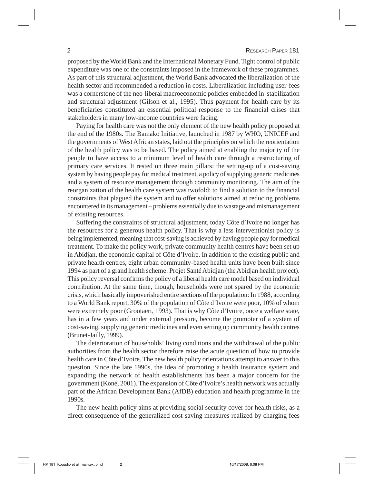proposed by the World Bank and the International Monetary Fund. Tight control of public expenditure was one of the constraints imposed in the framework of these programmes. As part of this structural adjustment, the World Bank advocated the liberalization of the health sector and recommended a reduction in costs. Liberalization including user-fees was a cornerstone of the neo-liberal macroeconomic policies embedded in stabilization and structural adjustment (Gilson et al., 1995). Thus payment for health care by its beneficiaries constituted an essential political response to the financial crises that stakeholders in many low-income countries were facing.

Paying for health care was not the only element of the new health policy proposed at the end of the 1980s. The Bamako Initiative, launched in 1987 by WHO, UNICEF and the governments of West African states, laid out the principles on which the reorientation of the health policy was to be based. The policy aimed at enabling the majority of the people to have access to a minimum level of health care through a restructuring of primary care services. It rested on three main pillars: the setting-up of a cost-saving system by having people pay for medical treatment, a policy of supplying generic medicines and a system of resource management through community monitoring. The aim of the reorganization of the health care system was twofold: to find a solution to the financial constraints that plagued the system and to offer solutions aimed at reducing problems encountered in its management – problems essentially due to wastage and mismanagement of existing resources.

Suffering the constraints of structural adjustment, today Côte d'Ivoire no longer has the resources for a generous health policy. That is why a less interventionist policy is being implemented, meaning that cost-saving is achieved by having people pay for medical treatment. To make the policy work, private community health centres have been set up in Abidjan, the economic capital of Côte d'Ivoire. In addition to the existing public and private health centres, eight urban community-based health units have been built since 1994 as part of a grand health scheme: Projet Santé Abidjan (the Abidjan health project). This policy reversal confirms the policy of a liberal health care model based on individual contribution. At the same time, though, households were not spared by the economic crisis, which basically impoverished entire sections of the population: In 1988, according to a World Bank report, 30% of the population of Côte d'Ivoire were poor, 10% of whom were extremely poor (Grootaert, 1993). That is why Côte d'Ivoire, once a welfare state, has in a few years and under external pressure, become the promoter of a system of cost-saving, supplying generic medicines and even setting up community health centres (Brunet-Jailly, 1999).

The deterioration of households' living conditions and the withdrawal of the public authorities from the health sector therefore raise the acute question of how to provide health care in Côte d'Ivoire. The new health policy orientations attempt to answer to this question. Since the late 1990s, the idea of promoting a health insurance system and expanding the network of health establishments has been a major concern for the government (Koné, 2001). The expansion of Côte d'Ivoire's health network was actually part of the African Development Bank (AfDB) education and health programme in the 1990s.

The new health policy aims at providing social security cover for health risks, as a direct consequence of the generalized cost-saving measures realized by charging fees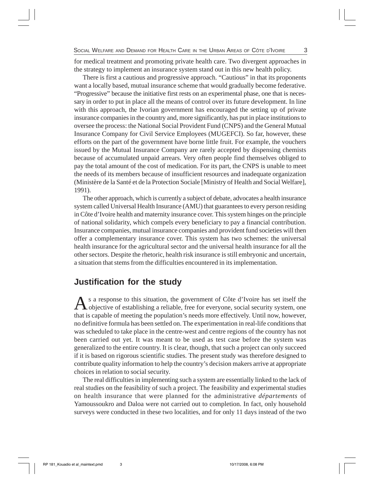for medical treatment and promoting private health care. Two divergent approaches in the strategy to implement an insurance system stand out in this new health policy.

There is first a cautious and progressive approach. "Cautious" in that its proponents want a locally based, mutual insurance scheme that would gradually become federative. "Progressive" because the initiative first rests on an experimental phase, one that is necessary in order to put in place all the means of control over its future development. In line with this approach, the Ivorian government has encouraged the setting up of private insurance companies in the country and, more significantly, has put in place institutions to oversee the process: the National Social Provident Fund (CNPS) and the General Mutual Insurance Company for Civil Service Employees (MUGEFCI). So far, however, these efforts on the part of the government have borne little fruit. For example, the vouchers issued by the Mutual Insurance Company are rarely accepted by dispensing chemists because of accumulated unpaid arrears. Very often people find themselves obliged to pay the total amount of the cost of medication. For its part, the CNPS is unable to meet the needs of its members because of insufficient resources and inadequate organization (Ministère de la Santé et de la Protection Sociale [Ministry of Health and Social Welfare], 1991).

The other approach, which is currently a subject of debate, advocates a health insurance system called Universal Health Insurance (AMU) that guarantees to every person residing in Côte d'Ivoire health and maternity insurance cover. This system hinges on the principle of national solidarity, which compels every beneficiary to pay a financial contribution. Insurance companies, mutual insurance companies and provident fund societies will then offer a complementary insurance cover. This system has two schemes: the universal health insurance for the agricultural sector and the universal health insurance for all the other sectors. Despite the rhetoric, health risk insurance is still embryonic and uncertain, a situation that stems from the difficulties encountered in its implementation.

### **Justification for the study**

As a response to this situation, the government of Côte d'Ivoire has set itself the objective of establishing a reliable, free for everyone, social security system, one that is capable of meeting the population's needs more effectively. Until now, however, no definitive formula has been settled on. The experimentation in real-life conditions that was scheduled to take place in the centre-west and centre regions of the country has not been carried out yet. It was meant to be used as test case before the system was generalized to the entire country. It is clear, though, that such a project can only succeed if it is based on rigorous scientific studies. The present study was therefore designed to contribute quality information to help the country's decision makers arrive at appropriate choices in relation to social security.

The real difficulties in implementing such a system are essentially linked to the lack of real studies on the feasibility of such a project. The feasibility and experimental studies on health insurance that were planned for the administrative *départements* of Yamoussoukro and Daloa were not carried out to completion. In fact, only household surveys were conducted in these two localities, and for only 11 days instead of the two

RP 181 Kouadio et al. maintext.pmd 3 10/17/2008, 6:08 PM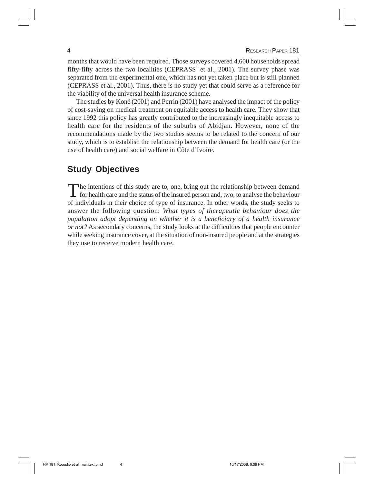months that would have been required. Those surveys covered 4,600 households spread fifty-fifty across the two localities (CEPRASS<sup>1</sup> et al., 2001). The survey phase was separated from the experimental one, which has not yet taken place but is still planned (CEPRASS et al., 2001). Thus, there is no study yet that could serve as a reference for the viability of the universal health insurance scheme.

The studies by Koné (2001) and Perrin (2001) have analysed the impact of the policy of cost-saving on medical treatment on equitable access to health care. They show that since 1992 this policy has greatly contributed to the increasingly inequitable access to health care for the residents of the suburbs of Abidjan. However, none of the recommendations made by the two studies seems to be related to the concern of our study, which is to establish the relationship between the demand for health care (or the use of health care) and social welfare in Côte d'Ivoire.

## **Study Objectives**

The intentions of this study are to, one, bring out the relationship between demand<br>for health care and the status of the insured person and, two, to analyse the behaviour of individuals in their choice of type of insurance. In other words, the study seeks to answer the following question: *What types of therapeutic behaviour does the population adopt depending on whether it is a beneficiary of a health insurance or not?* As secondary concerns, the study looks at the difficulties that people encounter while seeking insurance cover, at the situation of non-insured people and at the strategies they use to receive modern health care.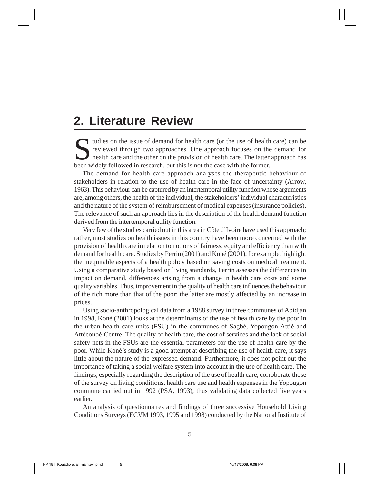## **2. Literature Review**

studies on the issue of demand for health care (or the use of health care) can be reviewed through two approaches. One approach focuses on the demand for health care and the other on the provision of health care. The latte reviewed through two approaches. One approach focuses on the demand for health care and the other on the provision of health care. The latter approach has been widely followed in research, but this is not the case with the former.

The demand for health care approach analyses the therapeutic behaviour of stakeholders in relation to the use of health care in the face of uncertainty (Arrow, 1963). This behaviour can be captured by an intertemporal utility function whose arguments are, among others, the health of the individual, the stakeholders' individual characteristics and the nature of the system of reimbursement of medical expenses (insurance policies). The relevance of such an approach lies in the description of the health demand function derived from the intertemporal utility function.

Very few of the studies carried out in this area in Côte d'Ivoire have used this approach; rather, most studies on health issues in this country have been more concerned with the provision of health care in relation to notions of fairness, equity and efficiency than with demand for health care. Studies by Perrin (2001) and Koné (2001), for example, highlight the inequitable aspects of a health policy based on saving costs on medical treatment. Using a comparative study based on living standards, Perrin assesses the differences in impact on demand, differences arising from a change in health care costs and some quality variables. Thus, improvement in the quality of health care influences the behaviour of the rich more than that of the poor; the latter are mostly affected by an increase in prices.

Using socio-anthropological data from a 1988 survey in three communes of Abidjan in 1998, Koné (2001) looks at the determinants of the use of health care by the poor in the urban health care units (FSU) in the communes of Sagbé, Yopougon-Attié and Attécoubé-Centre. The quality of health care, the cost of services and the lack of social safety nets in the FSUs are the essential parameters for the use of health care by the poor. While Koné's study is a good attempt at describing the use of health care, it says little about the nature of the expressed demand. Furthermore, it does not point out the importance of taking a social welfare system into account in the use of health care. The findings, especially regarding the description of the use of health care, corroborate those of the survey on living conditions, health care use and health expenses in the Yopougon commune carried out in 1992 (PSA, 1993), thus validating data collected five years earlier.

An analysis of questionnaires and findings of three successive Household Living Conditions Surveys (ECVM 1993, 1995 and 1998) conducted by the National Institute of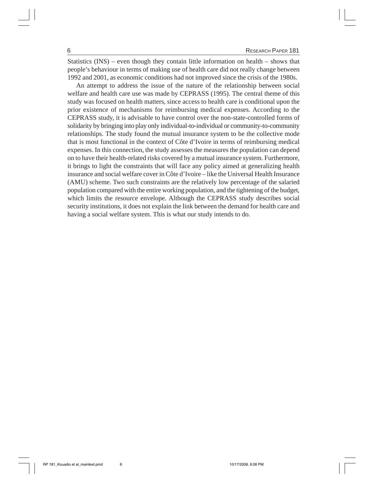Statistics (INS) – even though they contain little information on health – shows that people's behaviour in terms of making use of health care did not really change between 1992 and 2001, as economic conditions had not improved since the crisis of the 1980s.

An attempt to address the issue of the nature of the relationship between social welfare and health care use was made by CEPRASS (1995). The central theme of this study was focused on health matters, since access to health care is conditional upon the prior existence of mechanisms for reimbursing medical expenses. According to the CEPRASS study, it is advisable to have control over the non-state-controlled forms of solidarity by bringing into play only individual-to-individual or community-to-community relationships. The study found the mutual insurance system to be the collective mode that is most functional in the context of Côte d'Ivoire in terms of reimbursing medical expenses. In this connection, the study assesses the measures the population can depend on to have their health-related risks covered by a mutual insurance system. Furthermore, it brings to light the constraints that will face any policy aimed at generalizing health insurance and social welfare cover in Côte d'Ivoire – like the Universal Health Insurance (AMU) scheme. Two such constraints are the relatively low percentage of the salaried population compared with the entire working population, and the tightening of the budget, which limits the resource envelope. Although the CEPRASS study describes social security institutions, it does not explain the link between the demand for health care and having a social welfare system. This is what our study intends to do.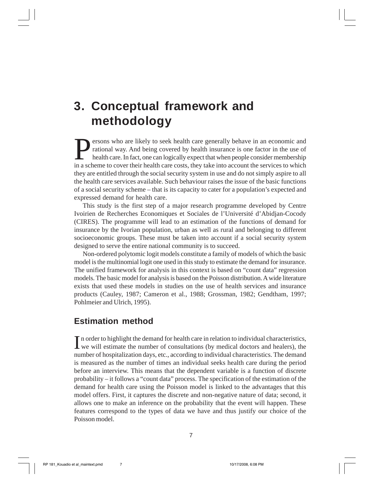## **3. Conceptual framework and methodology**

ersons who are likely to seek health care generally behave in an economic and rational way. And being covered by health insurance is one factor in the use of health care. In fact, one can logically expect that when people consider membership in a scheme to cover their health care costs, they take into account the services to which they are entitled through the social security system in use and do not simply aspire to all the health care services available. Such behaviour raises the issue of the basic functions of a social security scheme – that is its capacity to cater for a population's expected and expressed demand for health care.

This study is the first step of a major research programme developed by Centre Ivoirien de Recherches Economiques et Sociales de l'Université d'Abidjan-Cocody (CIRES). The programme will lead to an estimation of the functions of demand for insurance by the Ivorian population, urban as well as rural and belonging to different socioeconomic groups. These must be taken into account if a social security system designed to serve the entire national community is to succeed.

Non-ordered polytomic logit models constitute a family of models of which the basic model is the multinomial logit one used in this study to estimate the demand for insurance. The unified framework for analysis in this context is based on "count data" regression models. The basic model for analysis is based on the Poisson distribution. A wide literature exists that used these models in studies on the use of health services and insurance products (Cauley, 1987; Cameron et al., 1988; Grossman, 1982; Gendtham, 1997; Pohlmeier and Ulrich, 1995).

### **Estimation method**

In order to highlight the demand for health care in relation to individual characteristics, we will estimate the number of consultations (by medical doctors and healers), the we will estimate the number of consultations (by medical doctors and healers), the number of hospitalization days, etc., according to individual characteristics. The demand is measured as the number of times an individual seeks health care during the period before an interview. This means that the dependent variable is a function of discrete probability – it follows a "count data" process. The specification of the estimation of the demand for health care using the Poisson model is linked to the advantages that this model offers. First, it captures the discrete and non-negative nature of data; second, it allows one to make an inference on the probability that the event will happen. These features correspond to the types of data we have and thus justify our choice of the Poisson model.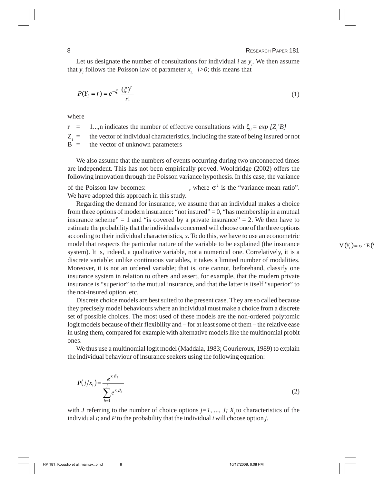Let us designate the number of consultations for individual  $i$  as  $y_i$ . We then assume that  $y_i$  follows the Poisson law of parameter  $x_i$  *i>0*; this means that

$$
P(Y_i = r) = e^{-\xi_i} \frac{(\xi)^r}{r!}
$$
 (1)

where

 $r = 1...$ ,n indicates the number of effective consultations with  $\xi_i = exp[Z_i^{\dagger}B]$  $Z_i$  = the vector of individual characteristics, including the state of being insured or not  $B =$  the vector of unknown parameters the vector of unknown parameters

We also assume that the numbers of events occurring during two unconnected times are independent. This has not been empirically proved. Wooldridge (2002) offers the following innovation through the Poisson variance hypothesis. In this case, the variance

of the Poisson law becomes: , where  $\sigma^2$  is the "variance mean ratio". We have adopted this approach in this study.

Regarding the demand for insurance, we assume that an individual makes a choice from three options of modern insurance: "not insured"  $= 0$ , "has membership in a mutual insurance scheme"  $= 1$  and "is covered by a private insurance"  $= 2$ . We then have to estimate the probability that the individuals concerned will choose one of the three options according to their individual characteristics, *x*. To do this, we have to use an econometric model that respects the particular nature of the variable to be explained (the insurance system). It is, indeed, a qualitative variable, not a numerical one. Correlatively, it is a discrete variable: unlike continuous variables, it takes a limited number of modalities. Moreover, it is not an ordered variable; that is, one cannot, beforehand, classify one insurance system in relation to others and assert, for example, that the modern private insurance is "superior" to the mutual insurance, and that the latter is itself "superior" to the not-insured option, etc.

Discrete choice models are best suited to the present case. They are so called because they precisely model behaviours where an individual must make a choice from a discrete set of possible choices. The most used of these models are the non-ordered polytomic logit models because of their flexibility and – for at least some of them – the relative ease in using them, compared for example with alternative models like the multinomial probit ones.

We thus use a multinomial logit model (Maddala, 1983; Gourieroux, 1989) to explain the individual behaviour of insurance seekers using the following equation:

$$
P(j/x_i) = \frac{e^{x_i \beta_j}}{\sum_{h=1}^{J} e^{x_i \beta_h}}
$$
 (2)

with *J* referring to the number of choice options  $j=1, ..., J; X<sub>i</sub>$  to characteristics of the individual *i*; and *P* to the probability that the individual *i* will choose option *j*.

 $V(Y_i) = \sigma^2 E(f)$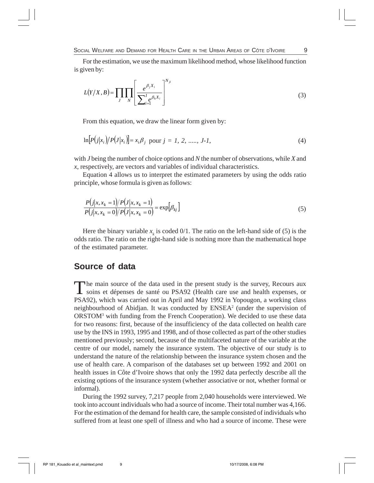For the estimation, we use the maximum likelihood method, whose likelihood function is given by:

$$
L(Y/X, B) = \prod_{J} \prod_{N} \left[ \frac{e^{\beta_j X_i}}{\sum_{i=1}^{I} e^{\beta_i X_i}} \right]^{N_{ji}} \tag{3}
$$

From this equation, we draw the linear form given by:

$$
\ln[P(j|x_i)/P(J|x_i)] = x_i \beta_j \text{ pour } j = 1, 2, \dots, J-1,
$$
\n(4)

with *J* being the number of choice options and *N* the number of observations, while *X* and *x*, respectively, are vectors and variables of individual characteristics.

Equation 4 allows us to interpret the estimated parameters by using the odds ratio principle, whose formula is given as follows:

$$
\frac{P(j|x, x_k = 1)/P(J|x, x_k = 1)}{P(j|x, x_k = 0)/P(J|x, x_k = 0)} = \exp[\beta_{kj}]
$$
\n(5)

Here the binary variable  $x<sub>k</sub>$  is coded 0/1. The ratio on the left-hand side of (5) is the odds ratio*.* The ratio on the right-hand side is nothing more than the mathematical hope of the estimated parameter.

### **Source of data**

The main source of the data used in the present study is the survey, Recours aux soins et dépenses de santé ou PSA92 (Health care use and health expenses, or PSA92), which was carried out in April and May 1992 in Yopougon, a working class neighbourhood of Abidjan. It was conducted by ENSEA<sup>2</sup> (under the supervision of ORSTOM<sup>3</sup> with funding from the French Cooperation). We decided to use these data for two reasons: first, because of the insufficiency of the data collected on health care use by the INS in 1993, 1995 and 1998, and of those collected as part of the other studies mentioned previously; second, because of the multifaceted nature of the variable at the centre of our model, namely the insurance system. The objective of our study is to understand the nature of the relationship between the insurance system chosen and the use of health care. A comparison of the databases set up between 1992 and 2001 on health issues in Côte d'Ivoire shows that only the 1992 data perfectly describe all the existing options of the insurance system (whether associative or not, whether formal or informal).

During the 1992 survey, 7,217 people from 2,040 households were interviewed. We took into account individuals who had a source of income. Their total number was 4,166. For the estimation of the demand for health care, the sample consisted of individuals who suffered from at least one spell of illness and who had a source of income. These were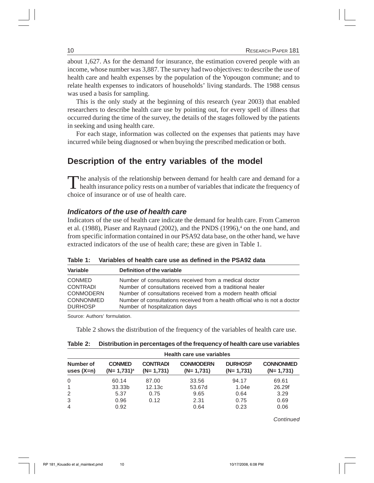about 1,627. As for the demand for insurance, the estimation covered people with an income, whose number was 3,887. The survey had two objectives: to describe the use of health care and health expenses by the population of the Yopougon commune; and to relate health expenses to indicators of households' living standards. The 1988 census was used a basis for sampling.

This is the only study at the beginning of this research (year 2003) that enabled researchers to describe health care use by pointing out, for every spell of illness that occurred during the time of the survey, the details of the stages followed by the patients in seeking and using health care.

For each stage, information was collected on the expenses that patients may have incurred while being diagnosed or when buying the prescribed medication or both.

### **Description of the entry variables of the model**

The analysis of the relationship between demand for health care and demand for a health insurance policy rests on a number of variables that indicate the frequency of choice of insurance or of use of health care.

### *Indicators of the use of health care*

Indicators of the use of health care indicate the demand for health care. From Cameron et al. (1988), Piaser and Raynaud (2002), and the PNDS (1996),<sup>4</sup> on the one hand, and from specific information contained in our PSA92 data base, on the other hand, we have extracted indicators of the use of health care; these are given in Table 1.

| Table 1: Variables of health care use as defined in the PSA92 data |
|--------------------------------------------------------------------|
|--------------------------------------------------------------------|

| Variable         | Definition of the variable                                                  |
|------------------|-----------------------------------------------------------------------------|
| CONMED           | Number of consultations received from a medical doctor                      |
| <b>CONTRADI</b>  | Number of consultations received from a traditional healer                  |
| <b>CONMODERN</b> | Number of consultations received from a modern health official              |
| <b>CONNONMED</b> | Number of consultations received from a health official who is not a doctor |
| <b>DURHOSP</b>   | Number of hospitalization days                                              |

Source: Authors' formulation.

Table 2 shows the distribution of the frequency of the variables of health care use.

| Table 2: | Distribution in percentages of the frequency of health care use variables |  |  |  |  |  |
|----------|---------------------------------------------------------------------------|--|--|--|--|--|
|----------|---------------------------------------------------------------------------|--|--|--|--|--|

| Number of<br>uses $(X=n)$ |                                |                                | <b>Health care use variables</b> |                               |                                 |
|---------------------------|--------------------------------|--------------------------------|----------------------------------|-------------------------------|---------------------------------|
|                           | <b>CONMED</b><br>$(N=1,731)^a$ | <b>CONTRADI</b><br>$(N=1,731)$ | <b>CONMODERN</b><br>$(N=1,731)$  | <b>DURHOSP</b><br>$(N=1,731)$ | <b>CONNONMED</b><br>$(N=1,731)$ |
| $\overline{0}$            | 60.14                          | 87.00                          | 33.56                            | 94.17                         | 69.61                           |
| $\mathbf{1}$              | 33.33b                         | 12.13c                         | 53.67d                           | 1.04e                         | 26.29f                          |
| 2                         | 5.37                           | 0.75                           | 9.65                             | 0.64                          | 3.29                            |
| 3                         | 0.96                           | 0.12                           | 2.31                             | 0.75                          | 0.69                            |
| $\overline{4}$            | 0.92                           |                                | 0.64                             | 0.23                          | 0.06                            |

*Continued*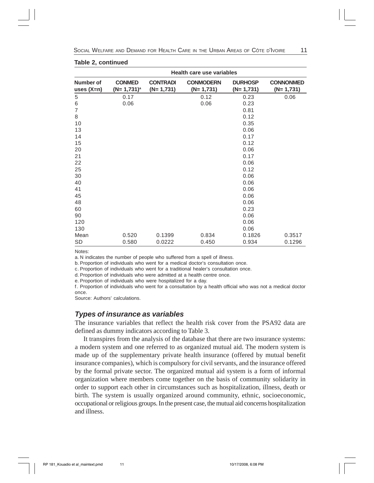| Table 2, continued        |                                |                                |                                  |                               |                                 |
|---------------------------|--------------------------------|--------------------------------|----------------------------------|-------------------------------|---------------------------------|
|                           |                                |                                | <b>Health care use variables</b> |                               |                                 |
| Number of<br>uses $(X=n)$ | <b>CONMED</b><br>$(N=1,731)^a$ | <b>CONTRADI</b><br>$(N=1,731)$ | <b>CONMODERN</b><br>$(N=1,731)$  | <b>DURHOSP</b><br>$(N=1,731)$ | <b>CONNONMED</b><br>$(N=1,731)$ |
| 5                         | 0.17                           |                                | 0.12                             | 0.23                          | 0.06                            |
| 6                         | 0.06                           |                                | 0.06                             | 0.23                          |                                 |
| $\overline{7}$            |                                |                                |                                  | 0.81                          |                                 |
| 8                         |                                |                                |                                  | 0.12                          |                                 |
| 10                        |                                |                                |                                  | 0.35                          |                                 |
| 13                        |                                |                                |                                  | 0.06                          |                                 |
| 14                        |                                |                                |                                  | 0.17                          |                                 |
| 15                        |                                |                                |                                  | 0.12                          |                                 |
| 20                        |                                |                                |                                  | 0.06                          |                                 |
| 21                        |                                |                                |                                  | 0.17                          |                                 |
| 22                        |                                |                                |                                  | 0.06                          |                                 |
| 25                        |                                |                                |                                  | 0.12                          |                                 |
| 30                        |                                |                                |                                  | 0.06                          |                                 |
| 40                        |                                |                                |                                  | 0.06                          |                                 |
| 41                        |                                |                                |                                  | 0.06                          |                                 |
| 45                        |                                |                                |                                  | 0.06                          |                                 |
| 48                        |                                |                                |                                  | 0.06                          |                                 |
| 60                        |                                |                                |                                  | 0.23                          |                                 |
| 90                        |                                |                                |                                  | 0.06                          |                                 |
| 120                       |                                |                                |                                  | 0.06                          |                                 |
| 130                       |                                |                                |                                  | 0.06                          |                                 |
| Mean                      | 0.520                          | 0.1399                         | 0.834                            | 0.1826                        | 0.3517                          |
| SD                        | 0.580                          | 0.0222                         | 0.450                            | 0.934                         | 0.1296                          |

Notes:

a. N indicates the number of people who suffered from a spell of illness.

b. Proportion of individuals who went for a medical doctor's consultation once.

c. Proportion of individuals who went for a traditional healer's consultation once.

d. Proportion of individuals who were admitted at a health centre once.

e. Proportion of individuals who were hospitalized for a day.

f. Proportion of individuals who went for a consultation by a health official who was not a medical doctor once.

Source: Authors' calculations.

### *Types of insurance as variables*

The insurance variables that reflect the health risk cover from the PSA92 data are defined as dummy indicators according to Table 3.

It transpires from the analysis of the database that there are two insurance systems: a modern system and one referred to as organized mutual aid. The modern system is made up of the supplementary private health insurance (offered by mutual benefit insurance companies), which is compulsory for civil servants, and the insurance offered by the formal private sector. The organized mutual aid system is a form of informal organization where members come together on the basis of community solidarity in order to support each other in circumstances such as hospitalization, illness, death or birth. The system is usually organized around community, ethnic, socioeconomic, occupational or religious groups. In the present case, the mutual aid concerns hospitalization and illness.

SOCIAL WELFARE AND DEMAND FOR HEALTH CARE IN THE URBAN AREAS OF CÔTE D'IVOIRE 11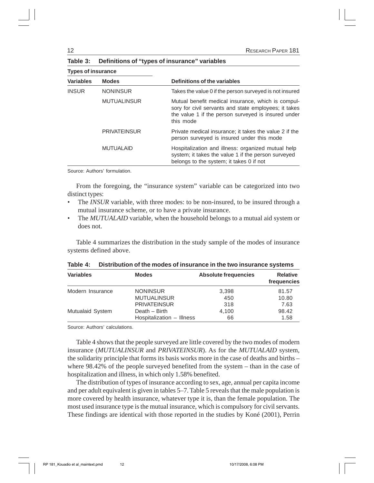| <b>Types of insurance</b>        |                     |                                                                                                                                                                                 |  |  |
|----------------------------------|---------------------|---------------------------------------------------------------------------------------------------------------------------------------------------------------------------------|--|--|
| <b>Variables</b><br><b>Modes</b> |                     | Definitions of the variables                                                                                                                                                    |  |  |
| <b>INSUR</b>                     | <b>NONINSUR</b>     | Takes the value 0 if the person surveyed is not insured                                                                                                                         |  |  |
|                                  | <b>MUTUALINSUR</b>  | Mutual benefit medical insurance, which is compul-<br>sory for civil servants and state employees; it takes<br>the value 1 if the person surveyed is insured under<br>this mode |  |  |
|                                  | <b>PRIVATEINSUR</b> | Private medical insurance; it takes the value 2 if the<br>person surveyed is insured under this mode                                                                            |  |  |
|                                  | <b>MUTUALAID</b>    | Hospitalization and illness: organized mutual help<br>system; it takes the value 1 if the person surveyed<br>belongs to the system; it takes 0 if not                           |  |  |

**Table 3: Definitions of "types of insurance" variables**

Source: Authors' formulation.

From the foregoing, the "insurance system" variable can be categorized into two distinct types:

- The *INSUR* variable, with three modes: to be non-insured, to be insured through a mutual insurance scheme, or to have a private insurance.
- The *MUTUALAID* variable, when the household belongs to a mutual aid system or does not.

Table 4 summarizes the distribution in the study sample of the modes of insurance systems defined above.

| <b>Variables</b> | <b>Modes</b>              | <b>Absolute frequencies</b> | <b>Relative</b><br>frequencies |
|------------------|---------------------------|-----------------------------|--------------------------------|
| Modern Insurance | <b>NONINSUR</b>           | 3,398                       | 81.57                          |
|                  | <b>MUTUALINSUR</b>        | 450                         | 10.80                          |
|                  | <b>PRIVATEINSUR</b>       | 318                         | 7.63                           |
| Mutualaid System | Death - Birth             | 4.100                       | 98.42                          |
|                  | Hospitalization - Illness | 66                          | 1.58                           |

**Table 4: Distribution of the modes of insurance in the two insurance systems**

Source: Authors' calculations.

Table 4 shows that the people surveyed are little covered by the two modes of modern insurance (*MUTUALINSUR* and *PRIVATEINSUR*). As for the *MUTUALAID* system, the solidarity principle that forms its basis works more in the case of deaths and births – where 98.42% of the people surveyed benefited from the system – than in the case of hospitalization and illness, in which only 1.58% benefited.

The distribution of types of insurance according to sex, age, annual per capita income and per adult equivalent is given in tables 5–7. Table 5 reveals that the male population is more covered by health insurance, whatever type it is, than the female population. The most used insurance type is the mutual insurance, which is compulsory for civil servants. These findings are identical with those reported in the studies by Koné (2001), Perrin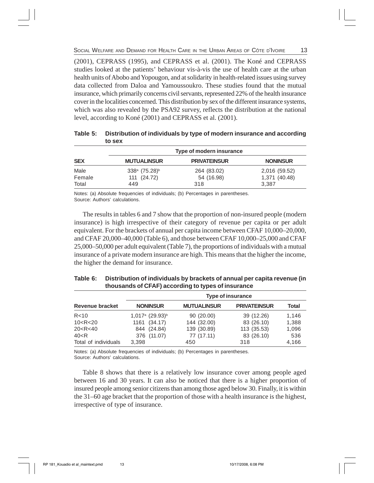(2001), CEPRASS (1995), and CEPRASS et al. (2001). The Koné and CEPRASS studies looked at the patients' behaviour vis-à-vis the use of health care at the urban health units of Abobo and Yopougon, and at solidarity in health-related issues using survey data collected from Daloa and Yamoussoukro. These studies found that the mutual insurance, which primarily concerns civil servants, represented 22% of the health insurance cover in the localities concerned. This distribution by sex of the different insurance systems, which was also revealed by the PSA92 survey, reflects the distribution at the national level, according to Koné (2001) and CEPRASS et al. (2001).

|            |                              | Type of modern insurance |                 |
|------------|------------------------------|--------------------------|-----------------|
| <b>SEX</b> | <b>MUTUALINSUR</b>           | <b>PRIVATEINSUR</b>      | <b>NONINSUR</b> |
| Male       | $338^a$ (75.28) <sup>b</sup> | 264 (83.02)              | 2,016 (59.52)   |
| Female     | 111 (24.72)                  | 54 (16.98)               | 1,371 (40.48)   |
| Total      | 449                          | 318                      | 3.387           |

**Table 5: Distribution of individuals by type of modern insurance and according to sex**

Notes: (a) Absolute frequencies of individuals; (b) Percentages in parentheses. Source: Authors' calculations.

The results in tables 6 and 7 show that the proportion of non-insured people (modern insurance) is high irrespective of their category of revenue per capita or per adult equivalent. For the brackets of annual per capita income between CFAF 10,000–20,000, and CFAF 20,000–40,000 (Table 6), and those between CFAF 10,000–25,000 and CFAF 25,000–50,000 per adult equivalent (Table 7), the proportions of individuals with a mutual insurance of a private modern insurance are high. This means that the higher the income, the higher the demand for insurance.

| Table 6: | Distribution of individuals by brackets of annual per capita revenue (in |
|----------|--------------------------------------------------------------------------|
|          | thousands of CFAF) according to types of insurance                       |

|                        |                                |                    | <b>Type of insurance</b> |              |
|------------------------|--------------------------------|--------------------|--------------------------|--------------|
| <b>Revenue bracket</b> | <b>NONINSUR</b>                | <b>MUTUALINSUR</b> | <b>PRIVATEINSUR</b>      | <b>Total</b> |
| $R<$ 10                | $1,017^a$ (29.93) <sup>b</sup> | 90(20.00)          | 39 (12.26)               | 1,146        |
| 10 < R < 20            | 1161 (34.17)                   | 144 (32.00)        | 83 (26.10)               | 1,388        |
| 20 < R < 40            | 844 (24.84)                    | 139 (30.89)        | 113 (35.53)              | 1,096        |
| 40 < R                 | 376 (11.07)                    | 77 (17.11)         | 83 (26.10)               | 536          |
| Total of individuals   | 3.398                          | 450                | 318                      | 4.166        |

Notes: (a) Absolute frequencies of individuals; (b) Percentages in parentheses. Source: Authors' calculations.

Table 8 shows that there is a relatively low insurance cover among people aged between 16 and 30 years. It can also be noticed that there is a higher proportion of insured people among senior citizens than among those aged below 30. Finally, it is within the 31–60 age bracket that the proportion of those with a health insurance is the highest, irrespective of type of insurance.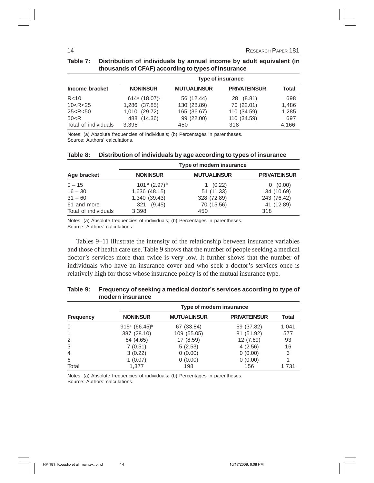### **Table 7: Distribution of individuals by annual income by adult equivalent (in thousands of CFAF) according to types of insurance**

|                      | <b>Type of insurance</b>           |                    |                     |       |  |  |  |  |
|----------------------|------------------------------------|--------------------|---------------------|-------|--|--|--|--|
| Income bracket       | <b>NONINSUR</b>                    | <b>MUTUALINSUR</b> | <b>PRIVATEINSUR</b> | Total |  |  |  |  |
| R<10                 | $614^{\circ}$ (18.07) <sup>b</sup> | 56 (12.44)         | 28 (8.81)           | 698   |  |  |  |  |
| 10 < R < 25          | 1,286 (37.85)                      | 130 (28.89)        | 70 (22.01)          | 1,486 |  |  |  |  |
| 25 < R < 50          | 1,010 (29.72)                      | 165 (36.67)        | 110 (34.59)         | 1,285 |  |  |  |  |
| 50 < R               | 488 (14.36)                        | 99 (22.00)         | 110 (34.59)         | 697   |  |  |  |  |
| Total of individuals | 3.398                              | 450                | 318                 | 4,166 |  |  |  |  |

Notes: (a) Absolute frequencies of individuals; (b) Percentages in parentheses. Source: Authors' calculations.

| Table 8: | Distribution of individuals by age according to types of insurance |
|----------|--------------------------------------------------------------------|
|          |                                                                    |

|                      | Type of modern insurance |                    |                     |  |  |  |
|----------------------|--------------------------|--------------------|---------------------|--|--|--|
| Age bracket          | <b>NONINSUR</b>          | <b>MUTUALINSUR</b> | <b>PRIVATEINSUR</b> |  |  |  |
| $0 - 15$             | 101 a $(2.97)^{b}$       | (0.22)<br>1.       | 0(0.00)             |  |  |  |
| $16 - 30$            | 1,636 (48.15)            | 51 (11.33)         | 34 (10.69)          |  |  |  |
| $31 - 60$            | 1,340 (39.43)            | 328 (72.89)        | 243 (76.42)         |  |  |  |
| 61 and more          | 321 (9.45)               | 70 (15.56)         | 41 (12.89)          |  |  |  |
| Total of individuals | 3,398                    | 450                | 318                 |  |  |  |

Notes: (a) Absolute frequencies of individuals; (b) Percentages in parentheses. Source: Authors' calculations

Tables 9–11 illustrate the intensity of the relationship between insurance variables and those of health care use. Table 9 shows that the number of people seeking a medical doctor's services more than twice is very low. It further shows that the number of individuals who have an insurance cover and who seek a doctor's services once is relatively high for those whose insurance policy is of the mutual insurance type.

|                  | Type of modern insurance     |                    |                     |              |  |  |  |  |
|------------------|------------------------------|--------------------|---------------------|--------------|--|--|--|--|
| <b>Frequency</b> | <b>NONINSUR</b>              | <b>MUTUALINSUR</b> | <b>PRIVATEINSUR</b> | <b>Total</b> |  |  |  |  |
| 0                | $915^a$ (66.45) <sup>b</sup> | 67 (33.84)         | 59 (37.82)          | 1,041        |  |  |  |  |
|                  | 387 (28.10)                  | 109 (55.05)        | 81 (51.92)          | 577          |  |  |  |  |
|                  | 64 (4.65)                    | 17 (8.59)          | 12 (7.69)           | 93           |  |  |  |  |
|                  | 7(0.51)                      | 5(2.53)            | 4(2.56)             | 16           |  |  |  |  |
| 4                | 3(0.22)                      | 0(0.00)            | 0(0.00)             | 3            |  |  |  |  |
| 6                | 1(0.07)                      | 0(0.00)            | 0(0.00)             |              |  |  |  |  |
| Total            | 1.377                        | 198                | 156                 | 1,731        |  |  |  |  |

**Table 9: Frequency of seeking a medical doctor's services according to type of modern insurance**

Notes: (a) Absolute frequencies of individuals; (b) Percentages in parentheses. Source: Authors' calculations.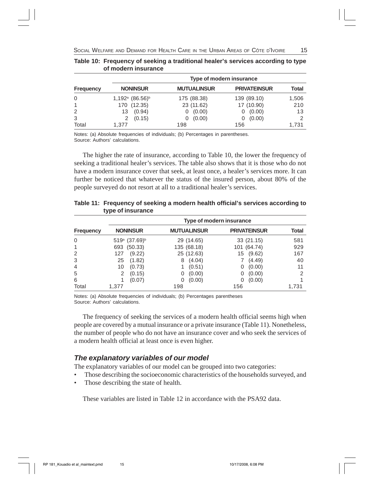|                  | Type of modern insurance       |                    |                     |       |  |  |  |  |
|------------------|--------------------------------|--------------------|---------------------|-------|--|--|--|--|
| <b>Frequency</b> | <b>NONINSUR</b>                | <b>MUTUALINSUR</b> | <b>PRIVATEINSUR</b> | Total |  |  |  |  |
| 0                | $1,192^a$ (86.56) <sup>b</sup> | 175 (88.38)        | 139 (89.10)         | 1,506 |  |  |  |  |
|                  | 170 (12.35)                    | 23 (11.62)         | 17 (10.90)          | 210   |  |  |  |  |
| 2                | (0.94)<br>13                   | (0.00)<br>0        | (0.00)<br>0         | 13    |  |  |  |  |
| 3                | (0.15)                         | (0.00)             | (0.00)<br>0         | ◠     |  |  |  |  |
| Total            | 1.377                          | 198                | 156                 | 1.731 |  |  |  |  |

| Table 10: Frequency of seeking a traditional healer's services according to type |
|----------------------------------------------------------------------------------|
| of modern insurance                                                              |

Notes: (a) Absolute frequencies of individuals; (b) Percentages in parentheses. Source: Authors' calculations.

The higher the rate of insurance, according to Table 10, the lower the frequency of seeking a traditional healer's services. The table also shows that it is those who do not have a modern insurance cover that seek, at least once, a healer's services more. It can further be noticed that whatever the status of the insured person, about 80% of the people surveyed do not resort at all to a traditional healer's services.

|                  | Type of modern insurance |                                       |     |                    |     |                     |       |  |
|------------------|--------------------------|---------------------------------------|-----|--------------------|-----|---------------------|-------|--|
| <b>Frequency</b> | <b>NONINSUR</b>          |                                       |     | <b>MUTUALINSUR</b> |     | <b>PRIVATEINSUR</b> |       |  |
| 0                |                          | 519 <sup>a</sup> (37.69) <sup>b</sup> |     | 29 (14.65)         |     | 33 (21.15)          | 581   |  |
|                  | 693                      | (50.33)                               |     | 135 (68.18)        |     | 101 (64.74)         | 929   |  |
| 2                | 127                      | (9.22)                                |     | 25 (12.63)         | 15  | (9.62)              | 167   |  |
| 3                | 25                       | (1.82)                                | 8   | (4.04)             |     | (4.49)              | 40    |  |
| 4                | 10                       | (0.73)                                |     | (0.51)             | 0   | (0.00)              | 11    |  |
| 5                | 2                        | (0.15)                                | 0   | (0.00)             | 0   | (0.00)              | 2     |  |
| 6                |                          | (0.07)                                | 0   | (0.00)             | 0   | (0.00)              |       |  |
| Total            | 1.377                    |                                       | 198 |                    | 156 |                     | 1,731 |  |

**Table 11: Frequency of seeking a modern health official's services according to type of insurance**

Notes: (a) Absolute frequencies of individuals; (b) Percentages parentheses Source: Authors' calculations.

The frequency of seeking the services of a modern health official seems high when people are covered by a mutual insurance or a private insurance (Table 11). Nonetheless, the number of people who do not have an insurance cover and who seek the services of a modern health official at least once is even higher.

### *The explanatory variables of our model*

The explanatory variables of our model can be grouped into two categories:

- Those describing the socioeconomic characteristics of the households surveyed, and
- Those describing the state of health.

These variables are listed in Table 12 in accordance with the PSA92 data.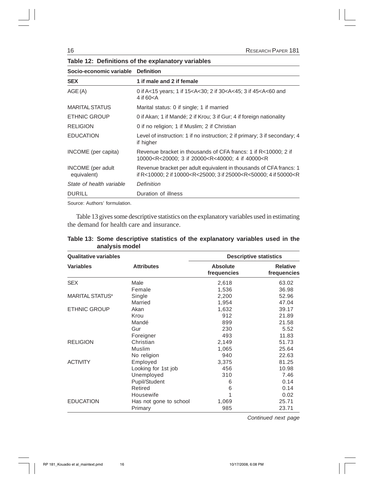| Table 12: Definitions of the explanatory variables |
|----------------------------------------------------|
|----------------------------------------------------|

| Socio-economic variable          | <b>Definition</b>                                                                                                                                                      |  |  |  |  |
|----------------------------------|------------------------------------------------------------------------------------------------------------------------------------------------------------------------|--|--|--|--|
| <b>SEX</b>                       | 1 if male and 2 if female                                                                                                                                              |  |  |  |  |
| AGE (A)                          | 0 if A<15 years; 1 if 15 <a<30; 2="" 3="" 30<a<45;="" 45<a<60="" and<br="" if="">4 if <math>60&lt;</math>A</a<30;>                                                     |  |  |  |  |
| <b>MARITAL STATUS</b>            | Marital status: 0 if single; 1 if married                                                                                                                              |  |  |  |  |
| <b>ETHNIC GROUP</b>              | 0 if Akan; 1 if Mandé; 2 if Krou; 3 if Gur; 4 if foreign nationality                                                                                                   |  |  |  |  |
| <b>RELIGION</b>                  | 0 if no religion; 1 if Muslim; 2 if Christian                                                                                                                          |  |  |  |  |
| <b>EDUCATION</b>                 | Level of instruction: 1 if no instruction; 2 if primary; 3 if secondary; 4<br>if higher                                                                                |  |  |  |  |
| INCOME (per capita)              | Revenue bracket in thousands of CFA francs: 1 if R<10000; 2 if<br>10000 <r<20000; 20000<r<40000;="" 3="" 4="" 40000<r<="" if="" td=""></r<20000;>                      |  |  |  |  |
| INCOME (per adult<br>equivalent) | Revenue bracket per adult equivalent in thousands of CFA francs: 1<br>if R<10000; 2 if 10000 <r<25000; 25000<r<50000;="" 3="" 4="" 50000<r<="" if="" td=""></r<25000;> |  |  |  |  |
| State of health variable         | Definition                                                                                                                                                             |  |  |  |  |
| <b>DURILL</b>                    | Duration of illness                                                                                                                                                    |  |  |  |  |

Source: Authors' formulation.

Table 13 gives some descriptive statistics on the explanatory variables used in estimating the demand for health care and insurance.

| <b>Qualitative variables</b>                                                                                                                       |                        | <b>Descriptive statistics</b> |                                |  |
|----------------------------------------------------------------------------------------------------------------------------------------------------|------------------------|-------------------------------|--------------------------------|--|
| <b>Variables</b><br>Male<br>Female<br>Single<br>Married<br>Akan<br>Krou<br>Mandé<br>Gur<br>Foreigner<br>Christian<br>Muslim<br>Employed<br>Retired | <b>Attributes</b>      | Absolute<br>frequencies       | <b>Relative</b><br>frequencies |  |
| <b>SEX</b>                                                                                                                                         |                        | 2,618                         | 63.02                          |  |
|                                                                                                                                                    |                        | 1,536                         | 36.98                          |  |
| <b>MARITAL STATUS<sup>a</sup></b>                                                                                                                  |                        | 2,200                         | 52.96                          |  |
|                                                                                                                                                    |                        | 1,954                         | 47.04                          |  |
| <b>ETHNIC GROUP</b>                                                                                                                                |                        | 1,632                         | 39.17                          |  |
|                                                                                                                                                    |                        | 912                           | 21.89                          |  |
|                                                                                                                                                    |                        | 899                           | 21.58                          |  |
|                                                                                                                                                    |                        | 230                           | 5.52                           |  |
|                                                                                                                                                    |                        | 493                           | 11.83                          |  |
| <b>RELIGION</b>                                                                                                                                    |                        | 2,149                         | 51.73                          |  |
|                                                                                                                                                    |                        | 1,065                         | 25.64                          |  |
|                                                                                                                                                    | No religion            | 940                           | 22.63                          |  |
| <b>ACTIVITY</b>                                                                                                                                    |                        | 3,375                         | 81.25                          |  |
|                                                                                                                                                    | Looking for 1st job    | 456                           | 10.98                          |  |
|                                                                                                                                                    | Unemployed             | 310                           | 7.46                           |  |
|                                                                                                                                                    | Pupil/Student          | 6                             | 0.14                           |  |
|                                                                                                                                                    |                        | 6                             | 0.14                           |  |
|                                                                                                                                                    | Housewife              | 1                             | 0.02                           |  |
| <b>EDUCATION</b>                                                                                                                                   | Has not gone to school | 1,069                         | 25.71                          |  |
|                                                                                                                                                    | Primary                | 985                           | 23.71                          |  |

|  |                |  | Table 13: Some descriptive statistics of the explanatory variables used in the |  |  |
|--|----------------|--|--------------------------------------------------------------------------------|--|--|
|  | analysis model |  |                                                                                |  |  |

*Continued next page*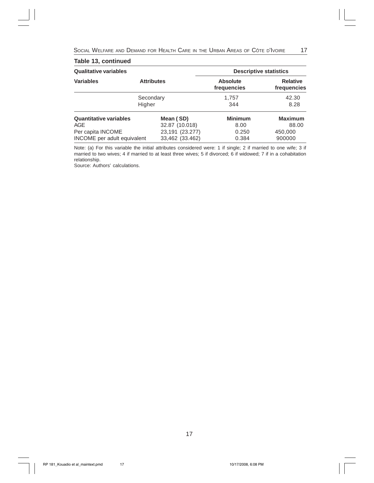|  |  |  | Social Welfare and Demand for Health Care in the Urban Areas of Côte d'Ivoire | -17 |
|--|--|--|-------------------------------------------------------------------------------|-----|
|  |  |  |                                                                               |     |

| <u>rapic rol communed</u>                      |                               |                |                                |
|------------------------------------------------|-------------------------------|----------------|--------------------------------|
| <b>Qualitative variables</b>                   | <b>Descriptive statistics</b> |                |                                |
| <b>Variables</b>                               | <b>Attributes</b>             |                | <b>Relative</b><br>frequencies |
| Secondary<br>Higher                            |                               | 1,757<br>344   | 42.30<br>8.28                  |
| <b>Quantitative variables</b>                  | Mean (SD)                     | <b>Minimum</b> | <b>Maximum</b>                 |
| AGE                                            | 32.87 (10.018)                | 8.00           | 88.00                          |
| Per capita INCOME                              | 23,191 (23.277)               | 0.250          | 450,000                        |
| INCOME per adult equivalent<br>33.462 (33.462) |                               | 0.384          | 900000                         |

**Table 13, continued**

Note: (a) For this variable the initial attributes considered were: 1 if single; 2 if married to one wife; 3 if married to two wives; 4 if married to at least three wives; 5 if divorced; 6 if widowed; 7 if in a cohabitation relationship.

Source: Authors' calculations.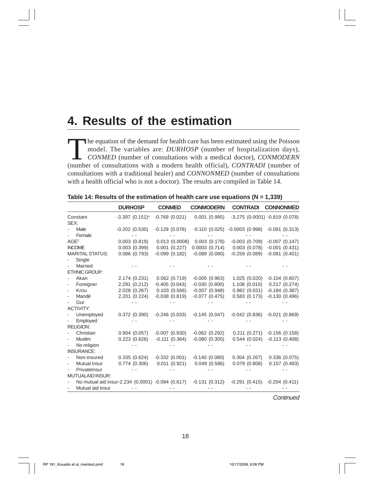## **4. Results of the estimation**

The equation of the demand for health care has been estimated using the Poisson<br>model. The variables are: DURHOSP (number of hospitalization days),<br>CONMED (number of consultations with a medical doctor), CONMODERN<br>(number model. The variables are: *DURHOSP* (number of hospitalization days), *CONMED* (number of consultations with a medical doctor), *CONMODERN* (number of consultations with a modern health official), *CONTRADI* (number of consultations with a traditional healer) and *CONNONMED* (number of consultations with a health official who is not a doctor). The results are compiled in Table 14.

|                                  | <b>DURHOSP</b>                                    | <b>CONMED</b>   | <b>CONMODERN</b>   | <b>CONTRADI</b>  | <b>CONNONMED</b>                   |
|----------------------------------|---------------------------------------------------|-----------------|--------------------|------------------|------------------------------------|
| Constant                         | $-3.397$ (0.151) <sup>a</sup>                     | $-0.769(0.021)$ | 0.001(0.995)       |                  | $-3.275$ (0.0001) $-0.819$ (0.078) |
| SEX:                             |                                                   |                 |                    |                  |                                    |
| Male                             | $-0.202(0.530)$                                   | $-0.129(0.076)$ | $-0.110(0.025)$    | $-0.0003(0.998)$ | $-0.091(0.313)$                    |
| Female                           |                                                   |                 |                    |                  |                                    |
| AGEC                             | 0.003(0.819)                                      | 0.013(0.0008)   | 0.003(0.178)       | $-0.003(0.709)$  | $-0.007(0.147)$                    |
| <b>INCOME</b>                    | 0.003(0.399)                                      | 0.001(0.227)    | 0.0003(0.714)      | 0.003(0.078)     | $-0.001$ $(0.431)$                 |
| <b>MARITAL STATUS:</b>           | 0.086(0.793)                                      | $-0.099(0.182)$ | $-0.089(0.080)$    | $-0.259(0.089)$  | $-0.081(0.401)$                    |
| Single                           |                                                   |                 |                    |                  |                                    |
| Married                          |                                                   |                 |                    |                  |                                    |
| ETHNIC GROUP:                    |                                                   |                 |                    |                  |                                    |
| Akan                             | 2.174 (0.231)                                     | 0.062(0.719)    | $-0.005(0.963)$    | 1.025(0.020)     | $-0.104(0.607)$                    |
| Foreigner                        | 2.291 (0.212)                                     | $-0.405(0.043)$ | $-0.030(0.800)$    | 1.108(0.010)     | 0.217(0.274)                       |
| Krou<br>$\overline{\phantom{0}}$ | 2.028 (0.267)                                     | 0.103(0.566)    | $-0.007$ $(0.948)$ | 0.982(0.031)     | $-0.184(0.387)$                    |
| Mandé                            | 2.201 (0.224)                                     | $-0.038(0.819)$ | $-0.077(0.475)$    | 0.583(0.173)     | $-0.130(0.496)$                    |
| Gur                              |                                                   |                 |                    |                  |                                    |
| <b>ACTIVITY:</b>                 |                                                   |                 |                    |                  |                                    |
| Unemployed                       | 0.372(0.390)                                      | $-0.246(0.033)$ | $-0.145(0.047)$    | $-0.042(0.836)$  | $-0.021(0.869)$                    |
| Employed                         |                                                   |                 |                    |                  |                                    |
| <b>RELIGION:</b>                 |                                                   |                 |                    |                  |                                    |
| Christian                        | 0.904(0.057)                                      | $-0.007(0.930)$ | $-0.062(0.292)$    | 0.211(0.271)     | $-0.156(0.158)$                    |
| <b>Muslim</b>                    | 0.223(0.626)                                      | $-0.111(0.364)$ | $-0.080(0.305)$    | 0.544(0.024)     | $-0.113(0.408)$                    |
| No religion                      |                                                   |                 |                    |                  |                                    |
| <b>INSURANCE:</b>                |                                                   |                 |                    |                  |                                    |
| Non-insured                      | 0.335(0.624)                                      | $-0.332(0.001)$ | $-0.140(0.080)$    | 0.304(0.267)     | 0.336(0.075)                       |
| <b>Mutual Insur</b>              | 0.774(0.306)                                      | 0.011(0.921)    | 0.049(0.586)       | 0.079(0.808)     | 0.157(0.483)                       |
| PrivateInsur                     |                                                   |                 |                    |                  |                                    |
| <b>MUTUALAID INSUR:</b>          |                                                   |                 |                    |                  |                                    |
|                                  | No mutual aid insur-2.234 (0.0001) -0.094 (0.617) |                 | $-0.131(0.312)$    | $-0.291(0.415)$  | $-0.204(0.411)$                    |
| Mutual aid insur                 |                                                   |                 |                    |                  |                                    |

*Continued*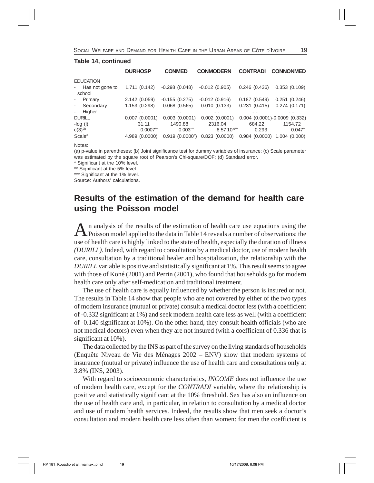SOCIAL WELFARE AND DEMAND FOR HEALTH CARE IN THE URBAN AREAS OF CÔTE D'IVOIRE 19

|                           | <b>DURHOSP</b> | <b>CONMED</b>   | <b>CONMODERN</b> | <b>CONTRADI</b> | <b>CONNONMED</b>                |
|---------------------------|----------------|-----------------|------------------|-----------------|---------------------------------|
| <b>EDUCATION</b>          |                |                 |                  |                 |                                 |
| Has not gone to<br>school | 1.711(0.142)   | $-0.298(0.048)$ | $-0.012(0.905)$  | 0.246(0.436)    | 0.353(0.109)                    |
| Primary                   | 2.142 (0.059)  | $-0.155(0.275)$ | $-0.012(0.916)$  | 0.187(0.549)    | 0.251(0.246)                    |
| Secondary                 | 1.153 (0.298)  | 0.068(0.565)    | 0.010(0.133)     | 0.231(0.415)    | 0.274(0.171)                    |
| Higher                    |                |                 |                  |                 |                                 |
| <b>DURILL</b>             | 0.007(0.0001)  | 0.003(0.0001)   | 0.002(0.0001)    |                 | $0.004$ (0.0001)-0.0009 (0.332) |
| -log $($ l $)$            | 31.11          | 1490.88         | 2316.04          | 684.22          | 1154.72                         |
| $C(3)^{2b}$               | $0.0007$       | $0.003$         | $8.5710^{-6***}$ | 0.293           | $0.047$ "                       |
| <b>Scale</b> <sup>c</sup> | 4.989 (0.0000) | 0.919(0.0000)   | 0.823(0.0000)    | 0.984(0.0000)   | 1.004(0.000)                    |

### **Table 14, continued**

Notes:

(a) p-value in parentheses; (b) Joint significance test for dummy variables of insurance; (c) Scale parameter was estimated by the square root of Pearson's Chi-square/DOF; (d) Standard error.

\* Significant at the 10% level.

\*\* Significant at the 5% level.

\*\*\* Significant at the 1% level.

Source: Authors' calculations.

## **Results of the estimation of the demand for health care using the Poisson model**

n analysis of the results of the estimation of health care use equations using the Poisson model applied to the data in Table 14 reveals a number of observations: the use of health care is highly linked to the state of health, especially the duration of illness *(DURILL).* Indeed, with regard to consultation by a medical doctor, use of modern health care, consultation by a traditional healer and hospitalization, the relationship with the *DURILL* variable is positive and statistically significant at 1%. This result seems to agree with those of Koné (2001) and Perrin (2001), who found that households go for modern health care only after self-medication and traditional treatment.

The use of health care is equally influenced by whether the person is insured or not. The results in Table 14 show that people who are not covered by either of the two types of modern insurance (mutual or private) consult a medical doctor less (with a coefficient of -0.332 significant at 1%) and seek modern health care less as well (with a coefficient of -0.140 significant at 10%). On the other hand, they consult health officials (who are not medical doctors) even when they are not insured (with a coefficient of 0.336 that is significant at 10%).

The data collected by the INS as part of the survey on the living standards of households (Enquête Niveau de Vie des Ménages 2002 – ENV) show that modern systems of insurance (mutual or private) influence the use of health care and consultations only at 3.8% (INS, 2003).

With regard to socioeconomic characteristics, *INCOME* does not influence the use of modern health care, except for the *CONTRADI* variable, where the relationship is positive and statistically significant at the 10% threshold. Sex has also an influence on the use of health care and, in particular, in relation to consultation by a medical doctor and use of modern health services. Indeed, the results show that men seek a doctor's consultation and modern health care less often than women: for men the coefficient is

RP 181 Kouadio et al. maintext.pmd 19 10/17/2008, 6:08 PM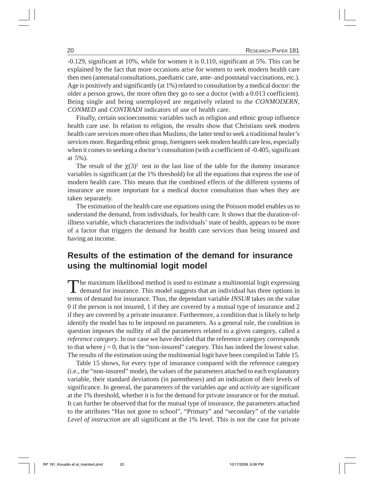-0.129, significant at 10%, while for women it is 0.110, significant at 5%. This can be explained by the fact that more occasions arise for women to seek modern health care then men (antenatal consultations, paediatric care, ante- and postnatal vaccinations, etc.). Age is positively and significantly (at 1%) related to consultation by a medical doctor: the older a person grows, the more often they go to see a doctor (with a 0.013 coefficient). Being single and being unemployed are negatively related to the *CONMODERN, CONMED* and *CONTRADI* indicators of use of health care.

Finally, certain socioeconomic variables such as religion and ethnic group influence health care use. In relation to religion, the results show that Christians seek modern health care services more often than Muslims; the latter tend to seek a traditional healer's services more. Regarding ethnic group, foreigners seek modern health care less, especially when it comes to seeking a doctor's consultation (with a coefficient of -0.405, significant at 5%).

The result of the  $\chi(3)^2$  test in the last line of the table for the dummy insurance variables is significant (at the 1% threshold) for all the equations that express the use of modern health care. This means that the combined effects of the different systems of insurance are more important for a medical doctor consultation than when they are taken separately.

The estimation of the health care use equations using the Poisson model enables us to understand the demand, from individuals, for health care. It shows that the duration-ofillness variable, which characterizes the individuals' state of health, appears to be more of a factor that triggers the demand for health care services than being insured and having an income.

## **Results of the estimation of the demand for insurance using the multinomial logit model**

The maximum likelihood method is used to estimate a multinomial logit expressing **L** demand for insurance. This model suggests that an individual has three options in terms of demand for insurance. Thus, the dependant variable *INSUR* takes on the value 0 if the person is not insured, 1 if they are covered by a mutual type of insurance and 2 if they are covered by a private insurance. Furthermore, a condition that is likely to help identify the model has to be imposed on parameters. As a general rule, the condition in question imposes the nullity of all the parameters related to a given category, called a *reference category*. In our case we have decided that the reference category corresponds to that where  $j = 0$ , that is the "non-insured" category. This has indeed the lowest value. The results of the estimation using the multinomial logit have been compiled in Table 15.

Table 15 shows, for every type of insurance compared with the reference category (i.e., the "non-insured" mode), the values of the parameters attached to each explanatory variable, their standard deviations (in parentheses) and an indication of their levels of significance. In general, the parameters of the variables *age* and *activity* are significant at the 1% threshold, whether it is for the demand for private insurance or for the mutual. It can further be observed that for the mutual type of insurance, the parameters attached to the attributes "Has not gone to school", "Primary" and "secondary" of the variable *Level of instruction* are all significant at the 1% level. This is not the case for private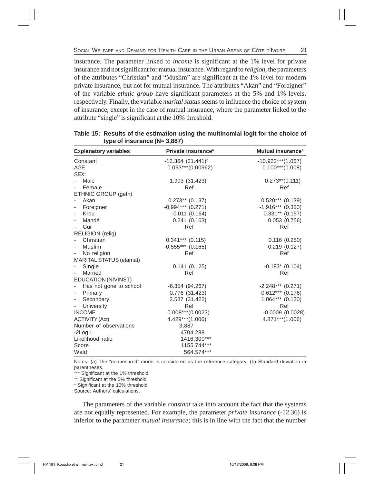insurance. The parameter linked to *income* is significant at the 1% level for private insurance and not significant for mutual insurance. With regard to *religion*, the parameters of the attributes "Christian" and "Muslim" are significant at the 1% level for modern private insurance, but not for mutual insurance. The attributes "Akan" and "Foreigner" of the variable *ethnic group* have significant parameters at the 5% and 1% levels, respectively. Finally, the variable *marital status* seems to influence the choice of system of insurance, except in the case of mutual insurance, where the parameter linked to the attribute "single" is significant at the 10% threshold.

| <b>Explanatory variables</b>          | Private insurance <sup>a</sup> | Mutual insurance <sup>a</sup> |  |  |
|---------------------------------------|--------------------------------|-------------------------------|--|--|
| Constant                              | $-12.364$ $(31.441)^{b}$       | $-10.922***$ (1.067)          |  |  |
| <b>AGE</b>                            | $0.093***$ (0.00962)           | $0.100***$ (0.008)            |  |  |
| SEX:                                  |                                |                               |  |  |
| Male                                  | 1.993 (31.423)                 | $0.273**$ (0.111)             |  |  |
| Female<br>$\overline{\phantom{a}}$    | Ref                            | Ref                           |  |  |
| ETHNIC GROUP (geth)                   |                                |                               |  |  |
| Akan                                  | $0.273**$ (0.137)              | $0.520***$ (0.139)            |  |  |
| Foreigner<br>$\overline{\phantom{a}}$ | $-0.994***$ (0.271)            | $-1.916***$ (0.350)           |  |  |
| Krou<br>$\blacksquare$                | $-0.011(0.164)$                | $0.331**$ (0.157)             |  |  |
| Mandé                                 | 0.241(0.163)                   | 0.053(0.756)                  |  |  |
| Gur                                   | Ref                            | Ref                           |  |  |
| RELIGION (relig)                      |                                |                               |  |  |
| Christian                             | $0.341***$ (0.115)             | 0.116(0.250)                  |  |  |
| Muslim<br>$\overline{\phantom{a}}$    | $-0.555***$ (0.165)            | $-0.219(0.127)$               |  |  |
| No religion                           | Ref                            | Ref                           |  |  |
| <b>MARITAL STATUS (etamat)</b>        |                                |                               |  |  |
| Single                                | 0.141(0.125)                   | $-0.183$ $(0.104)$            |  |  |
| Married                               | Ref                            | Ref                           |  |  |
| EDUCATION (NIVINST)                   |                                |                               |  |  |
| Has not gone to school                | $-6.354(94.267)$               | $-2.248***$ (0.271)           |  |  |
| Primary<br>$\overline{\phantom{a}}$   | 0.776 (31.423)                 | $-0.612***$ (0.176)           |  |  |
| Secondary<br>۰                        | 2.587 (31.422)                 | $1.064***$ (0.130)            |  |  |
| - University                          | Ref                            | Ref                           |  |  |
| <b>INCOME</b>                         | $0.008***$ (0.0023)            | $-0.0009$ (0.0028)            |  |  |
| <b>ACTIVITY (Act)</b>                 | 4.429***(1.006)                | $4.871***$ (1.006)            |  |  |
| Number of observations                | 3,887                          |                               |  |  |
| $-2Log L$                             | 4704.288                       |                               |  |  |
| Likelihood ratio                      | 1416.300***                    |                               |  |  |
| Score                                 | 1155.744***                    |                               |  |  |
| Wald                                  | 564.574***                     |                               |  |  |

### **Table 15: Results of the estimation using the multinomial logit for the choice of type of insurance (N= 3,887)**

Notes: (a) The "non-insured" mode is considered as the reference category; (b) Standard deviation in parentheses.

\*\*\* Significant at the 1% threshold.

\*\* Significant at the 5% threshold.

\* Significant at the 10% threshold.

Source: Authors' calculations.

The parameters of the variable *constant* take into account the fact that the systems are not equally represented. For example, the parameter *private insurance* (-12.36) is inferior to the parameter *mutual insurance;* this is in line with the fact that the number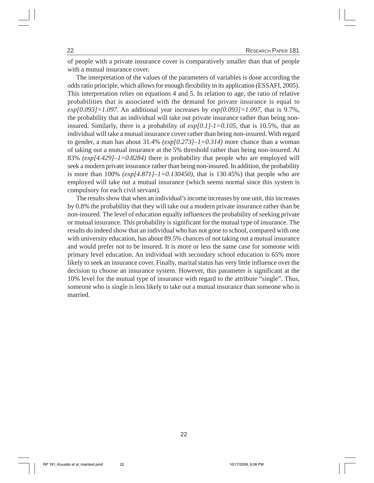of people with a private insurance cover is comparatively smaller than that of people with a mutual insurance cover.

The interpretation of the values of the parameters of variables is done according the odds ratio principle, which allows for enough flexibility in its application (ESSAFI, 2005). This interpretation relies on equations 4 and 5. In relation to age, the ratio of relative probabilities that is associated with the demand for private insurance is equal to *exp[0.093]=1.097*. An additional year increases by *exp[0.093]=1.097*, that is 9.7%, the probability that an individual will take out private insurance rather than being noninsured. Similarly, there is a probability of *exp[0.1]-1=0.105*, that is 10.5%, that an individual will take a mutual insurance cover rather than being non-insured. With regard to gender, a man has about 31.4% *(exp[0.273]–1=0.314)* more chance than a woman of taking out a mutual insurance at the 5% threshold rather than being non-insured. At 83% *(exp[4.429]–1=0.8284)* there is probability that people who are employed will seek a modern private insurance rather than being non-insured. In addition, the probability is more than 100% *(exp[4.871]–1=0.130450)*, that is 130.45%) that people who are employed will take out a mutual insurance (which seems normal since this system is compulsory for each civil servant).

The results show that when an individual's income increases by one unit, this increases by 0.8% the probability that they will take out a modern private insurance rather than be non-insured. The level of education equally influences the probability of seeking private or mutual insurance. This probability is significant for the mutual type of insurance. The results do indeed show that an individual who has not gone to school, compared with one with university education, has about 89.5% chances of not taking out a mutual insurance and would prefer not to be insured. It is more or less the same case for someone with primary level education. An individual with secondary school education is 65% more likely to seek an insurance cover. Finally, marital status has very little influence over the decision to choose an insurance system. However, this parameter is significant at the 10% level for the mutual type of insurance with regard to the attribute "single". Thus, someone who is single is less likely to take out a mutual insurance than someone who is married.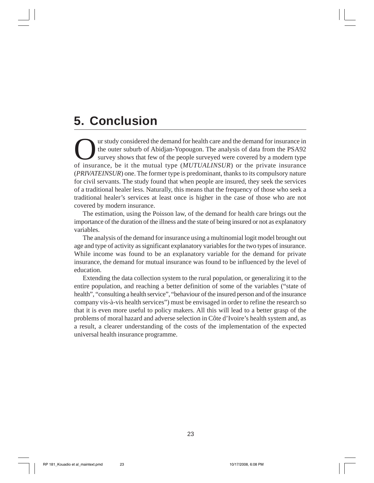# **5. Conclusion**

Our study considered the demand for health care and the demand for insurance in<br>the outer suburb of Abidjan-Yopougon. The analysis of data from the PSA92<br>survey shows that few of the people surveyed were covered by a moder the outer suburb of Abidjan-Yopougon. The analysis of data from the PSA92 survey shows that few of the people surveyed were covered by a modern type of insurance, be it the mutual type (*MUTUALINSUR*) or the private insurance (*PRIVATEINSUR*) one. The former type is predominant, thanks to its compulsory nature for civil servants. The study found that when people are insured, they seek the services of a traditional healer less. Naturally, this means that the frequency of those who seek a traditional healer's services at least once is higher in the case of those who are not covered by modern insurance.

The estimation, using the Poisson law, of the demand for health care brings out the importance of the duration of the illness and the state of being insured or not as explanatory variables.

The analysis of the demand for insurance using a multinomial logit model brought out age and type of activity as significant explanatory variables for the two types of insurance. While income was found to be an explanatory variable for the demand for private insurance, the demand for mutual insurance was found to be influenced by the level of education.

Extending the data collection system to the rural population, or generalizing it to the entire population, and reaching a better definition of some of the variables ("state of health", "consulting a health service", "behaviour of the insured person and of the insurance company vis-à-vis health services") must be envisaged in order to refine the research so that it is even more useful to policy makers. All this will lead to a better grasp of the problems of moral hazard and adverse selection in Côte d'Ivoire's health system and, as a result, a clearer understanding of the costs of the implementation of the expected universal health insurance programme.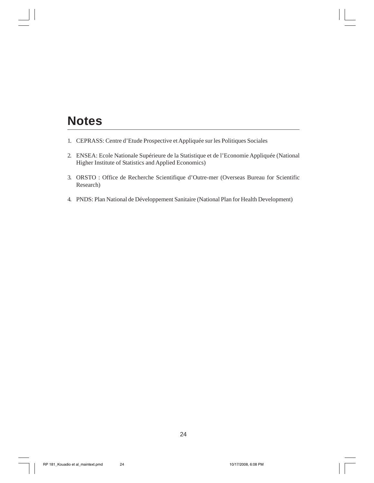## **Notes**

- 1. CEPRASS: Centre d'Etude Prospective et Appliquée sur les Politiques Sociales
- 2. ENSEA: Ecole Nationale Supérieure de la Statistique et de l'Economie Appliquée (National Higher Institute of Statistics and Applied Economics)
- 3. ORSTO : Office de Recherche Scientifique d'Outre-mer (Overseas Bureau for Scientific Research)
- 4. PNDS: Plan National de Développement Sanitaire (National Plan for Health Development)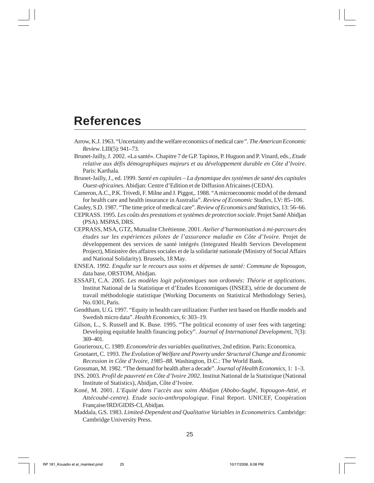## **References**

- Arrow, K.J. 1963. "Uncertainty and the welfare economics of medical care*"*. *The American Economic Review*. LIII(5): 941–73.
- Brunet-Jailly, J. 2002. «La santé»*.* Chapitre 7 de G.P. Tapinos, P. Huguon and P. Vinard, eds., *Etude relative aux défis démographiques majeurs et au développement durable en Côte d'Ivoire*. Paris: Karthala.
- Brunet-Jailly, J., ed. 1999. *Santé en capitales La dynamique des systèmes de santé des capitales Ouest-africaines.* Abidjan: Centre d'Edition et de Diffusion Africaines (CEDA).
- Cameron, A.C., P.K. Trivedi, F. Milne and J. Piggot,. 1988. "A microeconomic model of the demand for health care and health insurance in Australia". *Review of Economic Studies*, LV: 85–106.
- Cauley, S.D. 1987. "The time price of medical care". *Review of Economics and Statistics*, 13: 56–66.
- CEPRASS. 1995. *Les coûts des prestations et systèmes de protection sociale*. Projet Santé Abidjan (PSA). MSPAS, DRS.
- CEPRASS, MSA, GTZ, Mutualite Chrétienne. 2001. *Atelier d'harmonisation à mi-parcours des études sur les expériences pilotes de l'assurance maladie en Côte d'Ivoire.* Projet de développement des services de santé intégrés (Integrated Health Services Development Project), Ministère des affaires sociales et de la solidarité nationale (Ministry of Social Affairs and National Solidarity). Brussels, 18 May.
- ENSEA. 1992. *EnquÍte sur le recours aux soins et dépenses de santé: Commune de Yopougon,* data base, ORSTOM, Abidjan.
- ESSAFI, C.A. 2005. *Les modèles logit polytomiques non ordonnés: Théorie et applications*. Institut National de la Statistique et d'Etudes Economiques (INSEE), série de document de travail méthodologie statistique (Working Documents on Statistical Methodology Series), No. 0301, Paris.
- Gendtham, U.G. 1997. "Equity in health care utilization: Further test based on Hurdle models and Swedish micro data". *Health Economics*, 6: 303–19.
- Gilson, L., S. Russell and K. Buse. 1995. "The political economy of user fees with targeting: Developing equitable health financing policy". *Journal of International Development,* 7(3): 369–401.
- Gourieroux, C. 1989. *Econométrie des variables qualitatives*, 2nd edition. Paris: Economica.
- Grootaert, C. 1993. *The Evolution of Welfare and Poverty under Structural Change and Economic Recession in Côte d'Ivoire, 1985–88.* Washington, D.C.: The World Bank.
- Grossman, M. 1982. "The demand for health after a decade". *Journal of Health Economics,* 1: 1–3.
- INS. 2003. *Profil de pauvreté en Côte d'Ivoire 2002.* Institut National de la Statistique (National Institute of Statistics), Abidjan, Côte d'Ivoire.
- Koné, M. 2001. *L'Equité dans l'accès aux soins Abidjan (Abobo-Sagbé, Yopougon-Attié, et Attécoubé-centre). Etude socio-anthropologique.* Final Report. UNICEF, Coopération Française/IRD/GIDIS-CI, Abidjan.
- Maddala, G.S. 1983. *Limited-Dependent and Qualitative Variables in Econometrics.* Cambridge: Cambridge University Press.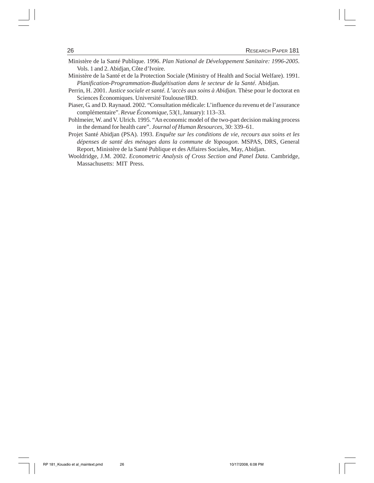- Ministère de la Santé Publique. 1996. *Plan National de Développement Sanitaire: 1996-2005*. Vols. 1 and 2. Abidjan, Côte d'Ivoire.
- Ministère de la Santé et de la Protection Sociale (Ministry of Health and Social Welfare). 1991. *Planification-Programmation-Budgétisation dans le secteur de la Santé.* Abidjan.
- Perrin, H. 2001. *Justice sociale et santé. L'accès aux soins à Abidjan*. Thèse pour le doctorat en Sciences Èconomiques. Université Toulouse/IRD.
- Piaser, G. and D. Raynaud. 2002. "Consultation médicale: L'influence du revenu et de l'assurance complémentaire". *Revue Économique,* 53(1, January): 113–33.
- Pohlmeier, W. and V. Ulrich. 1995. "An economic model of the two-part decision making process in the demand for health care". *Journal of Human Resources*, 30: 339–61.
- Projet Santé Abidjan (PSA). 1993. *Enquête sur les conditions de vie, recours aux soins et les dépenses de santé des ménages dans la commune de Yopougon*. MSPAS, DRS, General Report, Ministère de la Santé Publique et des Affaires Sociales, May, Abidjan.
- Wooldridge, J.M. 2002. *Econometric Analysis of Cross Section and Panel Data*. Cambridge, Massachusetts: MIT Press.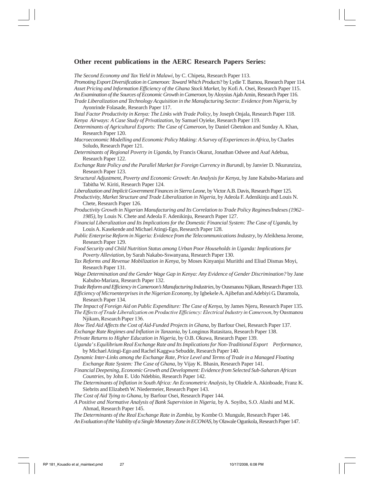### **Other recent publications in the AERC Research Papers Series:**

*The Second Economy and Tax Yield in Malawi*, by C. Chipeta, Research Paper 113. *Promoting Export Diversification in Cameroon: Toward Which Products*? by Lydie T. Bamou, Research Paper 114. *Asset Pricing and Information Efficiency of the Ghana Stock Market*, by Kofi A. Osei, Research Paper 115. *An Examination of the Sources of Economic Growth in Cameroon*, by Aloysius Ajab Amin, Research Paper 116. *Trade Liberalization and Technology Acquisition in the Manufacturing Sector: Evidence from Nigeria*, by

Ayonrinde Folasade, Research Paper 117.

*Total Factor Productivity in Kenya: The Links with Trade Policy*, by Joseph Onjala, Research Paper 118. *Kenya Airways: A Case Study of Privatization*, by Samuel Oyieke, Research Paper 119.

*Determinants of Agricultural Exports: The Case of Cameroon,* by Daniel Gbetnkon and Sunday A. Khan, Research Paper 120.

*Macroeconomic Modelling and Economic Policy Making: A Survey of Experiences in Africa,* by Charles Soludo, Research Paper 121.

*Determinants of Regional Poverty in Uganda,* by Francis Okurut, Jonathan Odwee and Asaf Adebua, Research Paper 122.

*Exchange Rate Policy and the Parallel Market for Foreign Currency in Burundi*, by Janvier D. Nkurunziza, Research Paper 123.

*Structural Adjustment, Poverty and Economic Growth*: *An Analysis for Kenya*, by Jane Kabubo-Mariara and Tabitha W. Kiriti, Research Paper 124.

*Liberalization and Implicit Government Finances in Sierra Leone*, by Victor A.B. Davis, Research Paper 125.

*Productivity, Market Structure and Trade Liberalization in Nigeria*, by Adeola F. Adenikinju and Louis N. Chete, Research Paper 126.

*Productivity Growth in Nigerian Manufacturing and Its Correlation to Trade Policy Regimes/Indexes(1962– 1985)*, by Louis N. Chete and Adeola F. Adenikinju, Research Paper 127.

*Financial Liberalization and Its Implications for the Domestic Financial System: The Case of Uganda*, by Louis A. Kasekende and Michael Atingi-Ego, Research Paper 128.

*Public Enterprise Reform in Nigeria: Evidence from the Telecommunications Industry*, by Afeikhena Jerome, Research Paper 129.

*Food Security and Child Nutrition Status among Urban Poor Households in Uganda: Implications for Poverty Alleviation,* by Sarah Nakabo-Sswanyana, Research Paper 130.

*Tax Reforms and Revenue Mobilization in Kenya*, by Moses Kinyanjui Muriithi and Eliud Dismas Moyi, Research Paper 131.

*Wage Determination and the Gender Wage Gap in Kenya: Any Evidence of Gender Discrimination?* by Jane Kabubo-Mariara, Research Paper 132.

*Trade Reform and Efficiency in Cameroon's Manufacturing Industries,* by Ousmanou Njikam, Research Paper 133. *Efficiency of Microenterprises in the Nigerian Economy*, by Igbekele A. Ajibefun and Adebiyi G. Daramola,

Research Paper 134.

*The Impact of Foreign Aid on Public Expenditure: The Case of Kenya*, by James Njeru, Research Paper 135. *The Effects of Trade Liberalization on Productive Efficiency: Electrical Industry in Cameroon*, by Ousmanou

Njikam, Research Paper 136. *How Tied Aid Affects the Cost of Aid-Funded Projects in Ghana*, by Barfour Osei, Research Paper 137. *Exchange Rate Regimes and Inflation in Tanzania*, by Longinus Rutasitara, Research Paper 138.

*Private Returns to Higher Education in Nigeria*, by O.B. Okuwa, Research Paper 139.

*Uganda' s Equilibrium Real Exchange Rate and Its Implications for Non-Traditional Export Performance*, by Michael Atingi-Ego and Rachel Kaggwa Sebudde, Research Paper 140.

*Dynamic Inter-Links among the Exchange Rate, Price Level and Terms of Trade in a Managed Floating Exchange Rate System: The Case of Ghana*, by Vijay K. Bhasin, Research Paper 141.

*Financial Deepening, Economic Growth and Development: Evidence from Selected Sub-Saharan African Countries*, by John E. Udo Ndebbio, Research Paper 142.

*The Determinants of Inflation in South Africa: An Econometric Analysis,* by Oludele A. Akinboade, Franz K. Siebrits and Elizabeth W. Niedermeier, Research Paper 143.

*The Cost of Aid Tying to Ghana*, by Barfour Osei, Research Paper 144.

*A Positive and Normative Analysis of Bank Supervision in Nigeria,* by A. Soyibo, S.O. Alashi and M.K. Ahmad, Research Paper 145.

*The Determinants of the Real Exchange Rate in Zambia,* by Kombe O. Mungule, Research Paper 146. *An Evaluation of the Viability of a Single Monetary Zone in ECOWAS,* by Olawale Ogunkola, Research Paper 147.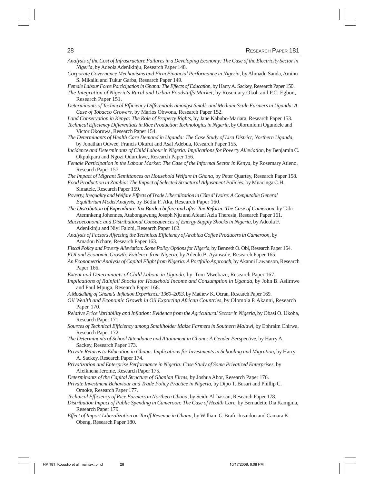| Analysis of the Cost of Infrastructure Failures in a Developing Economy: The Case of the Electricity Sector in<br>Nigeria, by Adeola Adenikinju, Research Paper 148.<br>Corporate Governance Mechanisms and Firm Financial Performance in Nigeria, by Ahmadu Sanda, Aminu<br>S. Mikailu and Tukur Garba, Research Paper 149.<br>Female Labour Force Participation in Ghana: The Effects of Education, by Harry A. Sackey, Research Paper 150.<br>The Integration of Nigeria's Rural and Urban Foodstuffs Market, by Rosemary Okoh and P.C. Egbon,<br>Research Paper 151.<br>Determinants of Technical Efficiency Differentials amongst Small- and Medium-Scale Farmers in Uganda: A<br>Case of Tobacco Growers, by Marios Obwona, Research Paper 152.<br>Land Conservation in Kenya: The Role of Property Rights, by Jane Kabubo-Mariara, Research Paper 153.<br>Technical Efficiency Differentials in Rice Production Technologies in Nigeria, by Olorunfemi Ogundele and<br>Victor Okoruwa, Research Paper 154.<br>The Determinants of Health Care Demand in Uganda: The Case Study of Lira District, Northern Uganda,<br>by Jonathan Odwee, Francis Okurut and Asaf Adebua, Research Paper 155.<br>Incidence and Determinants of Child Labour in Nigeria: Implications for Poverty Alleviation, by Benjamin C.<br>Okpukpara and Ngozi Odurukwe, Research Paper 156.<br>Female Participation in the Labour Market: The Case of the Informal Sector in Kenya, by Rosemary Atieno,<br>Research Paper 157.<br>The Impact of Migrant Remittances on Household Welfare in Ghana, by Peter Quartey, Research Paper 158.<br>Food Production in Zambia: The Impact of Selected Structural Adjustment Policies, by Muacinga C.H.<br>Simatele, Research Paper 159.<br>Poverty, Inequality and Welfare Effects of Trade Liberalization in Côte d' Ivoire: A Computable General<br>Equilibrium Model Analysis, by Bédia F. Aka, Research Paper 160.<br>The Distribution of Expenditure Tax Burden before and after Tax Reform: The Case of Cameroon, by Tabi<br>Atemnkeng Johennes, Atabongawung Joseph Nju and Afeani Azia Theresia, Research Paper 161.<br>Macroeconomic and Distributional Consequences of Energy Supply Shocks in Nigeria, by Adeola F.<br>Adenikinju and Niyi Falobi, Research Paper 162.<br>Analysis of Factors Affecting the Technical Efficiency of Arabica Coffee Producers in Cameroon, by<br>Amadou Nchare, Research Paper 163.<br>Fiscal Policy and Poverty Alleviation: Some Policy Options for Nigeria, by Benneth O. Obi, Research Paper 164.<br>FDI and Economic Growth: Evidence from Nigeria, by Adeolu B. Ayanwale, Research Paper 165.<br>An Econometric Analysis of Capital Flight from Nigeria: A Portfolio Approach, by Akanni Lawanson, Research<br>Paper 166.<br>Extent and Determinants of Child Labour in Uganda, by Tom Mwebaze, Research Paper 167.<br>Implications of Rainfall Shocks for Household Income and Consumption in Uganda, by John B. Asiimwe<br>and Paul Mpuga, Research Paper 168.<br>A Modelling of Ghana's Inflation Experience: 1960-2003, by Mathew K. Ocran, Research Paper 169.<br>Oil Wealth and Economic Growth in Oil Exporting African Countries, by Olomola P. Akanni, Research<br>Paper 170.<br>Relative Price Variability and Inflation: Evidence from the Agricultural Sector in Nigeria, by Obasi O. Ukoha,<br>Research Paper 171.<br>Sources of Technical Efficiency among Smallholder Maize Farmers in Southern Malawi, by Ephraim Chirwa,<br>Research Paper 172.<br>The Determinants of School Attendance and Attainment in Ghana: A Gender Perspective, by Harry A.<br>Sackey, Research Paper 173.<br>Private Returns to Education in Ghana: Implications for Investments in Schooling and Migration, by Harry<br>A. Sackey, Research Paper 174.<br>Privatization and Enterprise Performance in Nigeria: Case Study of Some Privatized Enterprises, by<br>Afeikhena Jerome, Research Paper 175.<br>Determinants of the Capital Structure of Ghanian Firms, by Joshua Abor, Research Paper 176.<br>Private Investment Behaviour and Trade Policy Practice in Nigeria, by Dipo T. Busari and Phillip C.<br>Omoke, Research Paper 177.<br>Technical Efficiency of Rice Farmers in Northern Ghana, by Seidu Al-hassan, Research Paper 178.<br>Distribution Impact of Public Spending in Cameroon: The Case of Health Care, by Bernadette Dia Kamgnia,<br>Research Paper 179.<br>Effect of Import Liberalization on Tariff Revenue in Ghana, by William G. Brafu-Insaidoo and Camara K.<br>Obeng, Research Paper 180. | RESEARCH PAPER 181<br>28 |
|--------------------------------------------------------------------------------------------------------------------------------------------------------------------------------------------------------------------------------------------------------------------------------------------------------------------------------------------------------------------------------------------------------------------------------------------------------------------------------------------------------------------------------------------------------------------------------------------------------------------------------------------------------------------------------------------------------------------------------------------------------------------------------------------------------------------------------------------------------------------------------------------------------------------------------------------------------------------------------------------------------------------------------------------------------------------------------------------------------------------------------------------------------------------------------------------------------------------------------------------------------------------------------------------------------------------------------------------------------------------------------------------------------------------------------------------------------------------------------------------------------------------------------------------------------------------------------------------------------------------------------------------------------------------------------------------------------------------------------------------------------------------------------------------------------------------------------------------------------------------------------------------------------------------------------------------------------------------------------------------------------------------------------------------------------------------------------------------------------------------------------------------------------------------------------------------------------------------------------------------------------------------------------------------------------------------------------------------------------------------------------------------------------------------------------------------------------------------------------------------------------------------------------------------------------------------------------------------------------------------------------------------------------------------------------------------------------------------------------------------------------------------------------------------------------------------------------------------------------------------------------------------------------------------------------------------------------------------------------------------------------------------------------------------------------------------------------------------------------------------------------------------------------------------------------------------------------------------------------------------------------------------------------------------------------------------------------------------------------------------------------------------------------------------------------------------------------------------------------------------------------------------------------------------------------------------------------------------------------------------------------------------------------------------------------------------------------------------------------------------------------------------------------------------------------------------------------------------------------------------------------------------------------------------------------------------------------------------------------------------------------------------------------------------------------------------------------------------------------------------------------------------------------------------------------------------------------------------------------------------------------------------------------------------------------------------------------------------------------------------------------------------------------------------------------------------------------------------------------------------------------------------------------------------------------------------------------------|--------------------------|
|                                                                                                                                                                                                                                                                                                                                                                                                                                                                                                                                                                                                                                                                                                                                                                                                                                                                                                                                                                                                                                                                                                                                                                                                                                                                                                                                                                                                                                                                                                                                                                                                                                                                                                                                                                                                                                                                                                                                                                                                                                                                                                                                                                                                                                                                                                                                                                                                                                                                                                                                                                                                                                                                                                                                                                                                                                                                                                                                                                                                                                                                                                                                                                                                                                                                                                                                                                                                                                                                                                                                                                                                                                                                                                                                                                                                                                                                                                                                                                                                                                                                                                                                                                                                                                                                                                                                                                                                                                                                                                                                                                                      |                          |
|                                                                                                                                                                                                                                                                                                                                                                                                                                                                                                                                                                                                                                                                                                                                                                                                                                                                                                                                                                                                                                                                                                                                                                                                                                                                                                                                                                                                                                                                                                                                                                                                                                                                                                                                                                                                                                                                                                                                                                                                                                                                                                                                                                                                                                                                                                                                                                                                                                                                                                                                                                                                                                                                                                                                                                                                                                                                                                                                                                                                                                                                                                                                                                                                                                                                                                                                                                                                                                                                                                                                                                                                                                                                                                                                                                                                                                                                                                                                                                                                                                                                                                                                                                                                                                                                                                                                                                                                                                                                                                                                                                                      |                          |
|                                                                                                                                                                                                                                                                                                                                                                                                                                                                                                                                                                                                                                                                                                                                                                                                                                                                                                                                                                                                                                                                                                                                                                                                                                                                                                                                                                                                                                                                                                                                                                                                                                                                                                                                                                                                                                                                                                                                                                                                                                                                                                                                                                                                                                                                                                                                                                                                                                                                                                                                                                                                                                                                                                                                                                                                                                                                                                                                                                                                                                                                                                                                                                                                                                                                                                                                                                                                                                                                                                                                                                                                                                                                                                                                                                                                                                                                                                                                                                                                                                                                                                                                                                                                                                                                                                                                                                                                                                                                                                                                                                                      |                          |
|                                                                                                                                                                                                                                                                                                                                                                                                                                                                                                                                                                                                                                                                                                                                                                                                                                                                                                                                                                                                                                                                                                                                                                                                                                                                                                                                                                                                                                                                                                                                                                                                                                                                                                                                                                                                                                                                                                                                                                                                                                                                                                                                                                                                                                                                                                                                                                                                                                                                                                                                                                                                                                                                                                                                                                                                                                                                                                                                                                                                                                                                                                                                                                                                                                                                                                                                                                                                                                                                                                                                                                                                                                                                                                                                                                                                                                                                                                                                                                                                                                                                                                                                                                                                                                                                                                                                                                                                                                                                                                                                                                                      |                          |
|                                                                                                                                                                                                                                                                                                                                                                                                                                                                                                                                                                                                                                                                                                                                                                                                                                                                                                                                                                                                                                                                                                                                                                                                                                                                                                                                                                                                                                                                                                                                                                                                                                                                                                                                                                                                                                                                                                                                                                                                                                                                                                                                                                                                                                                                                                                                                                                                                                                                                                                                                                                                                                                                                                                                                                                                                                                                                                                                                                                                                                                                                                                                                                                                                                                                                                                                                                                                                                                                                                                                                                                                                                                                                                                                                                                                                                                                                                                                                                                                                                                                                                                                                                                                                                                                                                                                                                                                                                                                                                                                                                                      |                          |
|                                                                                                                                                                                                                                                                                                                                                                                                                                                                                                                                                                                                                                                                                                                                                                                                                                                                                                                                                                                                                                                                                                                                                                                                                                                                                                                                                                                                                                                                                                                                                                                                                                                                                                                                                                                                                                                                                                                                                                                                                                                                                                                                                                                                                                                                                                                                                                                                                                                                                                                                                                                                                                                                                                                                                                                                                                                                                                                                                                                                                                                                                                                                                                                                                                                                                                                                                                                                                                                                                                                                                                                                                                                                                                                                                                                                                                                                                                                                                                                                                                                                                                                                                                                                                                                                                                                                                                                                                                                                                                                                                                                      |                          |
|                                                                                                                                                                                                                                                                                                                                                                                                                                                                                                                                                                                                                                                                                                                                                                                                                                                                                                                                                                                                                                                                                                                                                                                                                                                                                                                                                                                                                                                                                                                                                                                                                                                                                                                                                                                                                                                                                                                                                                                                                                                                                                                                                                                                                                                                                                                                                                                                                                                                                                                                                                                                                                                                                                                                                                                                                                                                                                                                                                                                                                                                                                                                                                                                                                                                                                                                                                                                                                                                                                                                                                                                                                                                                                                                                                                                                                                                                                                                                                                                                                                                                                                                                                                                                                                                                                                                                                                                                                                                                                                                                                                      |                          |
|                                                                                                                                                                                                                                                                                                                                                                                                                                                                                                                                                                                                                                                                                                                                                                                                                                                                                                                                                                                                                                                                                                                                                                                                                                                                                                                                                                                                                                                                                                                                                                                                                                                                                                                                                                                                                                                                                                                                                                                                                                                                                                                                                                                                                                                                                                                                                                                                                                                                                                                                                                                                                                                                                                                                                                                                                                                                                                                                                                                                                                                                                                                                                                                                                                                                                                                                                                                                                                                                                                                                                                                                                                                                                                                                                                                                                                                                                                                                                                                                                                                                                                                                                                                                                                                                                                                                                                                                                                                                                                                                                                                      |                          |
|                                                                                                                                                                                                                                                                                                                                                                                                                                                                                                                                                                                                                                                                                                                                                                                                                                                                                                                                                                                                                                                                                                                                                                                                                                                                                                                                                                                                                                                                                                                                                                                                                                                                                                                                                                                                                                                                                                                                                                                                                                                                                                                                                                                                                                                                                                                                                                                                                                                                                                                                                                                                                                                                                                                                                                                                                                                                                                                                                                                                                                                                                                                                                                                                                                                                                                                                                                                                                                                                                                                                                                                                                                                                                                                                                                                                                                                                                                                                                                                                                                                                                                                                                                                                                                                                                                                                                                                                                                                                                                                                                                                      |                          |
|                                                                                                                                                                                                                                                                                                                                                                                                                                                                                                                                                                                                                                                                                                                                                                                                                                                                                                                                                                                                                                                                                                                                                                                                                                                                                                                                                                                                                                                                                                                                                                                                                                                                                                                                                                                                                                                                                                                                                                                                                                                                                                                                                                                                                                                                                                                                                                                                                                                                                                                                                                                                                                                                                                                                                                                                                                                                                                                                                                                                                                                                                                                                                                                                                                                                                                                                                                                                                                                                                                                                                                                                                                                                                                                                                                                                                                                                                                                                                                                                                                                                                                                                                                                                                                                                                                                                                                                                                                                                                                                                                                                      |                          |
|                                                                                                                                                                                                                                                                                                                                                                                                                                                                                                                                                                                                                                                                                                                                                                                                                                                                                                                                                                                                                                                                                                                                                                                                                                                                                                                                                                                                                                                                                                                                                                                                                                                                                                                                                                                                                                                                                                                                                                                                                                                                                                                                                                                                                                                                                                                                                                                                                                                                                                                                                                                                                                                                                                                                                                                                                                                                                                                                                                                                                                                                                                                                                                                                                                                                                                                                                                                                                                                                                                                                                                                                                                                                                                                                                                                                                                                                                                                                                                                                                                                                                                                                                                                                                                                                                                                                                                                                                                                                                                                                                                                      |                          |
|                                                                                                                                                                                                                                                                                                                                                                                                                                                                                                                                                                                                                                                                                                                                                                                                                                                                                                                                                                                                                                                                                                                                                                                                                                                                                                                                                                                                                                                                                                                                                                                                                                                                                                                                                                                                                                                                                                                                                                                                                                                                                                                                                                                                                                                                                                                                                                                                                                                                                                                                                                                                                                                                                                                                                                                                                                                                                                                                                                                                                                                                                                                                                                                                                                                                                                                                                                                                                                                                                                                                                                                                                                                                                                                                                                                                                                                                                                                                                                                                                                                                                                                                                                                                                                                                                                                                                                                                                                                                                                                                                                                      |                          |
|                                                                                                                                                                                                                                                                                                                                                                                                                                                                                                                                                                                                                                                                                                                                                                                                                                                                                                                                                                                                                                                                                                                                                                                                                                                                                                                                                                                                                                                                                                                                                                                                                                                                                                                                                                                                                                                                                                                                                                                                                                                                                                                                                                                                                                                                                                                                                                                                                                                                                                                                                                                                                                                                                                                                                                                                                                                                                                                                                                                                                                                                                                                                                                                                                                                                                                                                                                                                                                                                                                                                                                                                                                                                                                                                                                                                                                                                                                                                                                                                                                                                                                                                                                                                                                                                                                                                                                                                                                                                                                                                                                                      |                          |
|                                                                                                                                                                                                                                                                                                                                                                                                                                                                                                                                                                                                                                                                                                                                                                                                                                                                                                                                                                                                                                                                                                                                                                                                                                                                                                                                                                                                                                                                                                                                                                                                                                                                                                                                                                                                                                                                                                                                                                                                                                                                                                                                                                                                                                                                                                                                                                                                                                                                                                                                                                                                                                                                                                                                                                                                                                                                                                                                                                                                                                                                                                                                                                                                                                                                                                                                                                                                                                                                                                                                                                                                                                                                                                                                                                                                                                                                                                                                                                                                                                                                                                                                                                                                                                                                                                                                                                                                                                                                                                                                                                                      |                          |
|                                                                                                                                                                                                                                                                                                                                                                                                                                                                                                                                                                                                                                                                                                                                                                                                                                                                                                                                                                                                                                                                                                                                                                                                                                                                                                                                                                                                                                                                                                                                                                                                                                                                                                                                                                                                                                                                                                                                                                                                                                                                                                                                                                                                                                                                                                                                                                                                                                                                                                                                                                                                                                                                                                                                                                                                                                                                                                                                                                                                                                                                                                                                                                                                                                                                                                                                                                                                                                                                                                                                                                                                                                                                                                                                                                                                                                                                                                                                                                                                                                                                                                                                                                                                                                                                                                                                                                                                                                                                                                                                                                                      |                          |
|                                                                                                                                                                                                                                                                                                                                                                                                                                                                                                                                                                                                                                                                                                                                                                                                                                                                                                                                                                                                                                                                                                                                                                                                                                                                                                                                                                                                                                                                                                                                                                                                                                                                                                                                                                                                                                                                                                                                                                                                                                                                                                                                                                                                                                                                                                                                                                                                                                                                                                                                                                                                                                                                                                                                                                                                                                                                                                                                                                                                                                                                                                                                                                                                                                                                                                                                                                                                                                                                                                                                                                                                                                                                                                                                                                                                                                                                                                                                                                                                                                                                                                                                                                                                                                                                                                                                                                                                                                                                                                                                                                                      |                          |
|                                                                                                                                                                                                                                                                                                                                                                                                                                                                                                                                                                                                                                                                                                                                                                                                                                                                                                                                                                                                                                                                                                                                                                                                                                                                                                                                                                                                                                                                                                                                                                                                                                                                                                                                                                                                                                                                                                                                                                                                                                                                                                                                                                                                                                                                                                                                                                                                                                                                                                                                                                                                                                                                                                                                                                                                                                                                                                                                                                                                                                                                                                                                                                                                                                                                                                                                                                                                                                                                                                                                                                                                                                                                                                                                                                                                                                                                                                                                                                                                                                                                                                                                                                                                                                                                                                                                                                                                                                                                                                                                                                                      |                          |
|                                                                                                                                                                                                                                                                                                                                                                                                                                                                                                                                                                                                                                                                                                                                                                                                                                                                                                                                                                                                                                                                                                                                                                                                                                                                                                                                                                                                                                                                                                                                                                                                                                                                                                                                                                                                                                                                                                                                                                                                                                                                                                                                                                                                                                                                                                                                                                                                                                                                                                                                                                                                                                                                                                                                                                                                                                                                                                                                                                                                                                                                                                                                                                                                                                                                                                                                                                                                                                                                                                                                                                                                                                                                                                                                                                                                                                                                                                                                                                                                                                                                                                                                                                                                                                                                                                                                                                                                                                                                                                                                                                                      |                          |
|                                                                                                                                                                                                                                                                                                                                                                                                                                                                                                                                                                                                                                                                                                                                                                                                                                                                                                                                                                                                                                                                                                                                                                                                                                                                                                                                                                                                                                                                                                                                                                                                                                                                                                                                                                                                                                                                                                                                                                                                                                                                                                                                                                                                                                                                                                                                                                                                                                                                                                                                                                                                                                                                                                                                                                                                                                                                                                                                                                                                                                                                                                                                                                                                                                                                                                                                                                                                                                                                                                                                                                                                                                                                                                                                                                                                                                                                                                                                                                                                                                                                                                                                                                                                                                                                                                                                                                                                                                                                                                                                                                                      |                          |
|                                                                                                                                                                                                                                                                                                                                                                                                                                                                                                                                                                                                                                                                                                                                                                                                                                                                                                                                                                                                                                                                                                                                                                                                                                                                                                                                                                                                                                                                                                                                                                                                                                                                                                                                                                                                                                                                                                                                                                                                                                                                                                                                                                                                                                                                                                                                                                                                                                                                                                                                                                                                                                                                                                                                                                                                                                                                                                                                                                                                                                                                                                                                                                                                                                                                                                                                                                                                                                                                                                                                                                                                                                                                                                                                                                                                                                                                                                                                                                                                                                                                                                                                                                                                                                                                                                                                                                                                                                                                                                                                                                                      |                          |
|                                                                                                                                                                                                                                                                                                                                                                                                                                                                                                                                                                                                                                                                                                                                                                                                                                                                                                                                                                                                                                                                                                                                                                                                                                                                                                                                                                                                                                                                                                                                                                                                                                                                                                                                                                                                                                                                                                                                                                                                                                                                                                                                                                                                                                                                                                                                                                                                                                                                                                                                                                                                                                                                                                                                                                                                                                                                                                                                                                                                                                                                                                                                                                                                                                                                                                                                                                                                                                                                                                                                                                                                                                                                                                                                                                                                                                                                                                                                                                                                                                                                                                                                                                                                                                                                                                                                                                                                                                                                                                                                                                                      |                          |
|                                                                                                                                                                                                                                                                                                                                                                                                                                                                                                                                                                                                                                                                                                                                                                                                                                                                                                                                                                                                                                                                                                                                                                                                                                                                                                                                                                                                                                                                                                                                                                                                                                                                                                                                                                                                                                                                                                                                                                                                                                                                                                                                                                                                                                                                                                                                                                                                                                                                                                                                                                                                                                                                                                                                                                                                                                                                                                                                                                                                                                                                                                                                                                                                                                                                                                                                                                                                                                                                                                                                                                                                                                                                                                                                                                                                                                                                                                                                                                                                                                                                                                                                                                                                                                                                                                                                                                                                                                                                                                                                                                                      |                          |
|                                                                                                                                                                                                                                                                                                                                                                                                                                                                                                                                                                                                                                                                                                                                                                                                                                                                                                                                                                                                                                                                                                                                                                                                                                                                                                                                                                                                                                                                                                                                                                                                                                                                                                                                                                                                                                                                                                                                                                                                                                                                                                                                                                                                                                                                                                                                                                                                                                                                                                                                                                                                                                                                                                                                                                                                                                                                                                                                                                                                                                                                                                                                                                                                                                                                                                                                                                                                                                                                                                                                                                                                                                                                                                                                                                                                                                                                                                                                                                                                                                                                                                                                                                                                                                                                                                                                                                                                                                                                                                                                                                                      |                          |
|                                                                                                                                                                                                                                                                                                                                                                                                                                                                                                                                                                                                                                                                                                                                                                                                                                                                                                                                                                                                                                                                                                                                                                                                                                                                                                                                                                                                                                                                                                                                                                                                                                                                                                                                                                                                                                                                                                                                                                                                                                                                                                                                                                                                                                                                                                                                                                                                                                                                                                                                                                                                                                                                                                                                                                                                                                                                                                                                                                                                                                                                                                                                                                                                                                                                                                                                                                                                                                                                                                                                                                                                                                                                                                                                                                                                                                                                                                                                                                                                                                                                                                                                                                                                                                                                                                                                                                                                                                                                                                                                                                                      |                          |
|                                                                                                                                                                                                                                                                                                                                                                                                                                                                                                                                                                                                                                                                                                                                                                                                                                                                                                                                                                                                                                                                                                                                                                                                                                                                                                                                                                                                                                                                                                                                                                                                                                                                                                                                                                                                                                                                                                                                                                                                                                                                                                                                                                                                                                                                                                                                                                                                                                                                                                                                                                                                                                                                                                                                                                                                                                                                                                                                                                                                                                                                                                                                                                                                                                                                                                                                                                                                                                                                                                                                                                                                                                                                                                                                                                                                                                                                                                                                                                                                                                                                                                                                                                                                                                                                                                                                                                                                                                                                                                                                                                                      |                          |
|                                                                                                                                                                                                                                                                                                                                                                                                                                                                                                                                                                                                                                                                                                                                                                                                                                                                                                                                                                                                                                                                                                                                                                                                                                                                                                                                                                                                                                                                                                                                                                                                                                                                                                                                                                                                                                                                                                                                                                                                                                                                                                                                                                                                                                                                                                                                                                                                                                                                                                                                                                                                                                                                                                                                                                                                                                                                                                                                                                                                                                                                                                                                                                                                                                                                                                                                                                                                                                                                                                                                                                                                                                                                                                                                                                                                                                                                                                                                                                                                                                                                                                                                                                                                                                                                                                                                                                                                                                                                                                                                                                                      |                          |
|                                                                                                                                                                                                                                                                                                                                                                                                                                                                                                                                                                                                                                                                                                                                                                                                                                                                                                                                                                                                                                                                                                                                                                                                                                                                                                                                                                                                                                                                                                                                                                                                                                                                                                                                                                                                                                                                                                                                                                                                                                                                                                                                                                                                                                                                                                                                                                                                                                                                                                                                                                                                                                                                                                                                                                                                                                                                                                                                                                                                                                                                                                                                                                                                                                                                                                                                                                                                                                                                                                                                                                                                                                                                                                                                                                                                                                                                                                                                                                                                                                                                                                                                                                                                                                                                                                                                                                                                                                                                                                                                                                                      |                          |
|                                                                                                                                                                                                                                                                                                                                                                                                                                                                                                                                                                                                                                                                                                                                                                                                                                                                                                                                                                                                                                                                                                                                                                                                                                                                                                                                                                                                                                                                                                                                                                                                                                                                                                                                                                                                                                                                                                                                                                                                                                                                                                                                                                                                                                                                                                                                                                                                                                                                                                                                                                                                                                                                                                                                                                                                                                                                                                                                                                                                                                                                                                                                                                                                                                                                                                                                                                                                                                                                                                                                                                                                                                                                                                                                                                                                                                                                                                                                                                                                                                                                                                                                                                                                                                                                                                                                                                                                                                                                                                                                                                                      |                          |
|                                                                                                                                                                                                                                                                                                                                                                                                                                                                                                                                                                                                                                                                                                                                                                                                                                                                                                                                                                                                                                                                                                                                                                                                                                                                                                                                                                                                                                                                                                                                                                                                                                                                                                                                                                                                                                                                                                                                                                                                                                                                                                                                                                                                                                                                                                                                                                                                                                                                                                                                                                                                                                                                                                                                                                                                                                                                                                                                                                                                                                                                                                                                                                                                                                                                                                                                                                                                                                                                                                                                                                                                                                                                                                                                                                                                                                                                                                                                                                                                                                                                                                                                                                                                                                                                                                                                                                                                                                                                                                                                                                                      |                          |
|                                                                                                                                                                                                                                                                                                                                                                                                                                                                                                                                                                                                                                                                                                                                                                                                                                                                                                                                                                                                                                                                                                                                                                                                                                                                                                                                                                                                                                                                                                                                                                                                                                                                                                                                                                                                                                                                                                                                                                                                                                                                                                                                                                                                                                                                                                                                                                                                                                                                                                                                                                                                                                                                                                                                                                                                                                                                                                                                                                                                                                                                                                                                                                                                                                                                                                                                                                                                                                                                                                                                                                                                                                                                                                                                                                                                                                                                                                                                                                                                                                                                                                                                                                                                                                                                                                                                                                                                                                                                                                                                                                                      |                          |
|                                                                                                                                                                                                                                                                                                                                                                                                                                                                                                                                                                                                                                                                                                                                                                                                                                                                                                                                                                                                                                                                                                                                                                                                                                                                                                                                                                                                                                                                                                                                                                                                                                                                                                                                                                                                                                                                                                                                                                                                                                                                                                                                                                                                                                                                                                                                                                                                                                                                                                                                                                                                                                                                                                                                                                                                                                                                                                                                                                                                                                                                                                                                                                                                                                                                                                                                                                                                                                                                                                                                                                                                                                                                                                                                                                                                                                                                                                                                                                                                                                                                                                                                                                                                                                                                                                                                                                                                                                                                                                                                                                                      |                          |
|                                                                                                                                                                                                                                                                                                                                                                                                                                                                                                                                                                                                                                                                                                                                                                                                                                                                                                                                                                                                                                                                                                                                                                                                                                                                                                                                                                                                                                                                                                                                                                                                                                                                                                                                                                                                                                                                                                                                                                                                                                                                                                                                                                                                                                                                                                                                                                                                                                                                                                                                                                                                                                                                                                                                                                                                                                                                                                                                                                                                                                                                                                                                                                                                                                                                                                                                                                                                                                                                                                                                                                                                                                                                                                                                                                                                                                                                                                                                                                                                                                                                                                                                                                                                                                                                                                                                                                                                                                                                                                                                                                                      |                          |
|                                                                                                                                                                                                                                                                                                                                                                                                                                                                                                                                                                                                                                                                                                                                                                                                                                                                                                                                                                                                                                                                                                                                                                                                                                                                                                                                                                                                                                                                                                                                                                                                                                                                                                                                                                                                                                                                                                                                                                                                                                                                                                                                                                                                                                                                                                                                                                                                                                                                                                                                                                                                                                                                                                                                                                                                                                                                                                                                                                                                                                                                                                                                                                                                                                                                                                                                                                                                                                                                                                                                                                                                                                                                                                                                                                                                                                                                                                                                                                                                                                                                                                                                                                                                                                                                                                                                                                                                                                                                                                                                                                                      |                          |
|                                                                                                                                                                                                                                                                                                                                                                                                                                                                                                                                                                                                                                                                                                                                                                                                                                                                                                                                                                                                                                                                                                                                                                                                                                                                                                                                                                                                                                                                                                                                                                                                                                                                                                                                                                                                                                                                                                                                                                                                                                                                                                                                                                                                                                                                                                                                                                                                                                                                                                                                                                                                                                                                                                                                                                                                                                                                                                                                                                                                                                                                                                                                                                                                                                                                                                                                                                                                                                                                                                                                                                                                                                                                                                                                                                                                                                                                                                                                                                                                                                                                                                                                                                                                                                                                                                                                                                                                                                                                                                                                                                                      |                          |

 $\Box$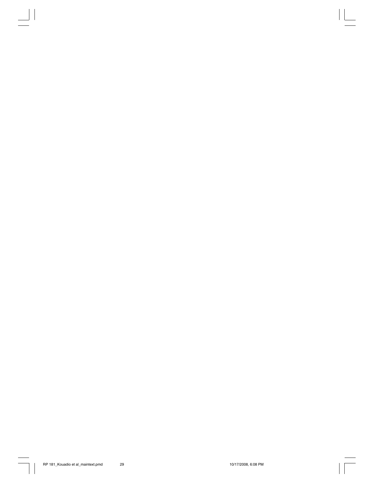RP 181\_Kouadio et al\_maintext.pmd 29 29 10/17/2008, 6:08 PM

Ξ

 $\Box$